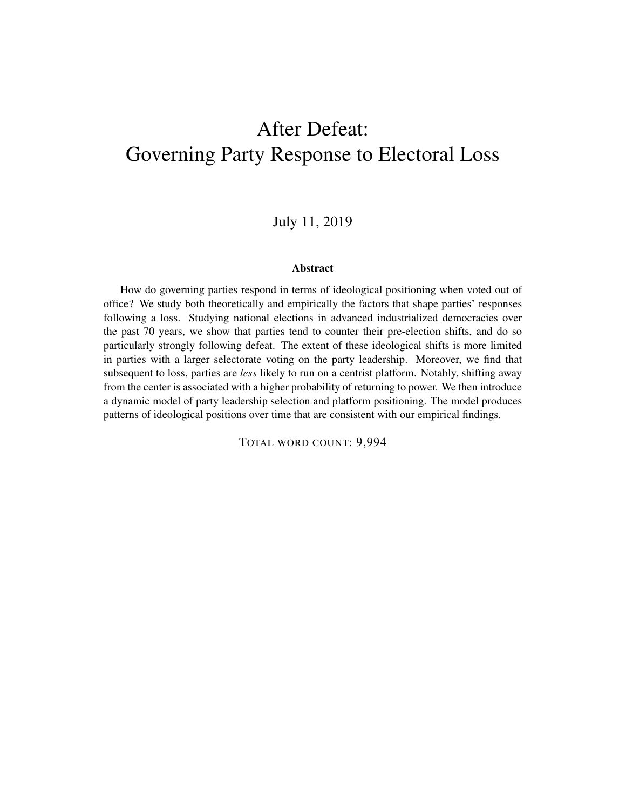# <span id="page-0-0"></span>After Defeat: Governing Party Response to Electoral Loss

July 11, 2019

#### Abstract

How do governing parties respond in terms of ideological positioning when voted out of office? We study both theoretically and empirically the factors that shape parties' responses following a loss. Studying national elections in advanced industrialized democracies over the past 70 years, we show that parties tend to counter their pre-election shifts, and do so particularly strongly following defeat. The extent of these ideological shifts is more limited in parties with a larger selectorate voting on the party leadership. Moreover, we find that subsequent to loss, parties are *less* likely to run on a centrist platform. Notably, shifting away from the center is associated with a higher probability of returning to power. We then introduce a dynamic model of party leadership selection and platform positioning. The model produces patterns of ideological positions over time that are consistent with our empirical findings.

TOTAL WORD COUNT: 9,994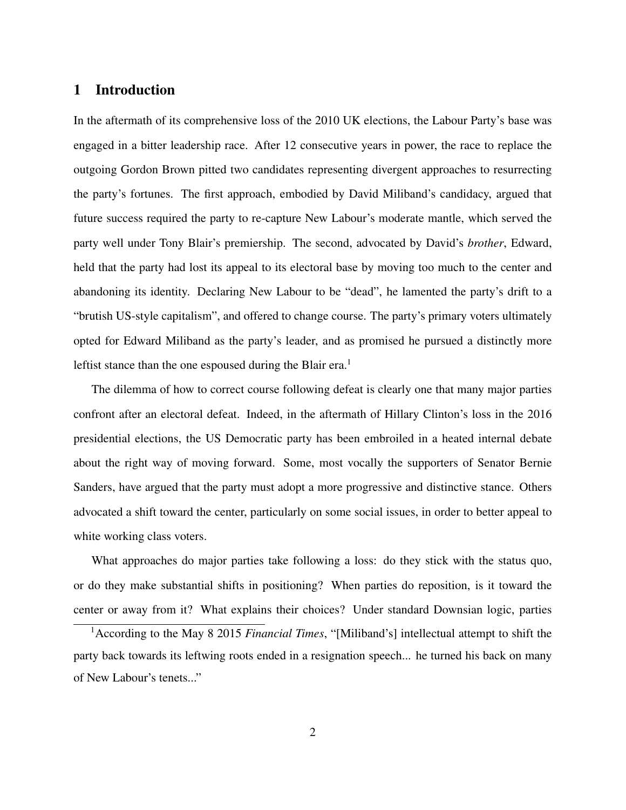# <span id="page-1-0"></span>1 Introduction

In the aftermath of its comprehensive loss of the 2010 UK elections, the Labour Party's base was engaged in a bitter leadership race. After 12 consecutive years in power, the race to replace the outgoing Gordon Brown pitted two candidates representing divergent approaches to resurrecting the party's fortunes. The first approach, embodied by David Miliband's candidacy, argued that future success required the party to re-capture New Labour's moderate mantle, which served the party well under Tony Blair's premiership. The second, advocated by David's *brother*, Edward, held that the party had lost its appeal to its electoral base by moving too much to the center and abandoning its identity. Declaring New Labour to be "dead", he lamented the party's drift to a "brutish US-style capitalism", and offered to change course. The party's primary voters ultimately opted for Edward Miliband as the party's leader, and as promised he pursued a distinctly more leftist stance than the one espoused during the Blair era.<sup>[1](#page-0-0)</sup>

The dilemma of how to correct course following defeat is clearly one that many major parties confront after an electoral defeat. Indeed, in the aftermath of Hillary Clinton's loss in the 2016 presidential elections, the US Democratic party has been embroiled in a heated internal debate about the right way of moving forward. Some, most vocally the supporters of Senator Bernie Sanders, have argued that the party must adopt a more progressive and distinctive stance. Others advocated a shift toward the center, particularly on some social issues, in order to better appeal to white working class voters.

What approaches do major parties take following a loss: do they stick with the status quo, or do they make substantial shifts in positioning? When parties do reposition, is it toward the center or away from it? What explains their choices? Under standard Downsian logic, parties

<sup>1</sup>According to the May 8 2015 *Financial Times*, "[Miliband's] intellectual attempt to shift the party back towards its leftwing roots ended in a resignation speech... he turned his back on many of New Labour's tenets..."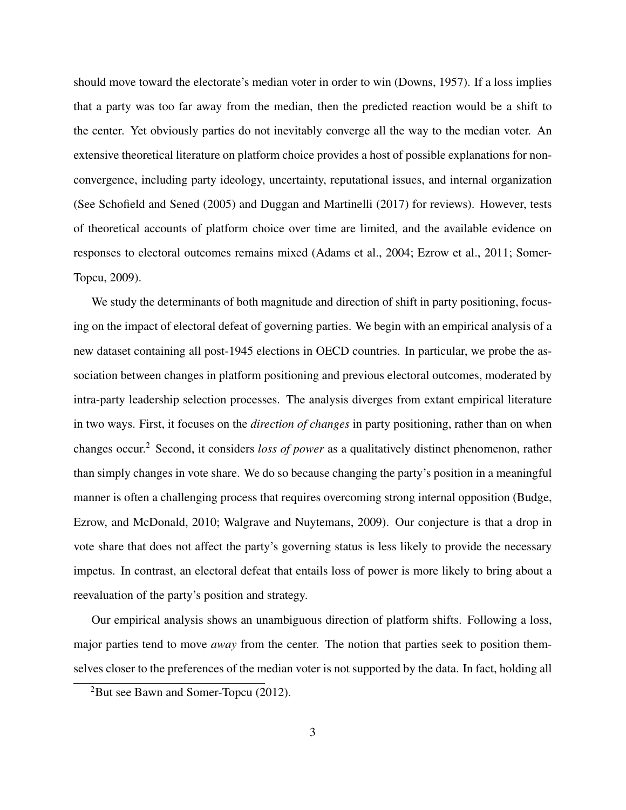should move toward the electorate's median voter in order to win [\(Downs, 1957\)](#page-35-0). If a loss implies that a party was too far away from the median, then the predicted reaction would be a shift to the center. Yet obviously parties do not inevitably converge all the way to the median voter. An extensive theoretical literature on platform choice provides a host of possible explanations for nonconvergence, including party ideology, uncertainty, reputational issues, and internal organization (See [Schofield and Sened](#page-36-0) [\(2005\)](#page-36-0) and [Duggan and Martinelli](#page-35-1) [\(2017\)](#page-35-1) for reviews). However, tests of theoretical accounts of platform choice over time are limited, and the available evidence on responses to electoral outcomes remains mixed [\(Adams et al., 2004;](#page-34-0) [Ezrow et al., 2011;](#page-35-2) [Somer-](#page-37-0)[Topcu, 2009\)](#page-37-0).

We study the determinants of both magnitude and direction of shift in party positioning, focusing on the impact of electoral defeat of governing parties. We begin with an empirical analysis of a new dataset containing all post-1945 elections in OECD countries. In particular, we probe the association between changes in platform positioning and previous electoral outcomes, moderated by intra-party leadership selection processes. The analysis diverges from extant empirical literature in two ways. First, it focuses on the *direction of changes* in party positioning, rather than on when changes occur.[2](#page-0-0) Second, it considers *loss of power* as a qualitatively distinct phenomenon, rather than simply changes in vote share. We do so because changing the party's position in a meaningful manner is often a challenging process that requires overcoming strong internal opposition [\(Budge,](#page-34-1) [Ezrow, and McDonald, 2010;](#page-34-1) [Walgrave and Nuytemans, 2009\)](#page-37-1). Our conjecture is that a drop in vote share that does not affect the party's governing status is less likely to provide the necessary impetus. In contrast, an electoral defeat that entails loss of power is more likely to bring about a reevaluation of the party's position and strategy.

Our empirical analysis shows an unambiguous direction of platform shifts. Following a loss, major parties tend to move *away* from the center. The notion that parties seek to position themselves closer to the preferences of the median voter is not supported by the data. In fact, holding all

 ${}^{2}$ But see [Bawn and Somer-Topcu](#page-34-2) [\(2012\)](#page-34-2).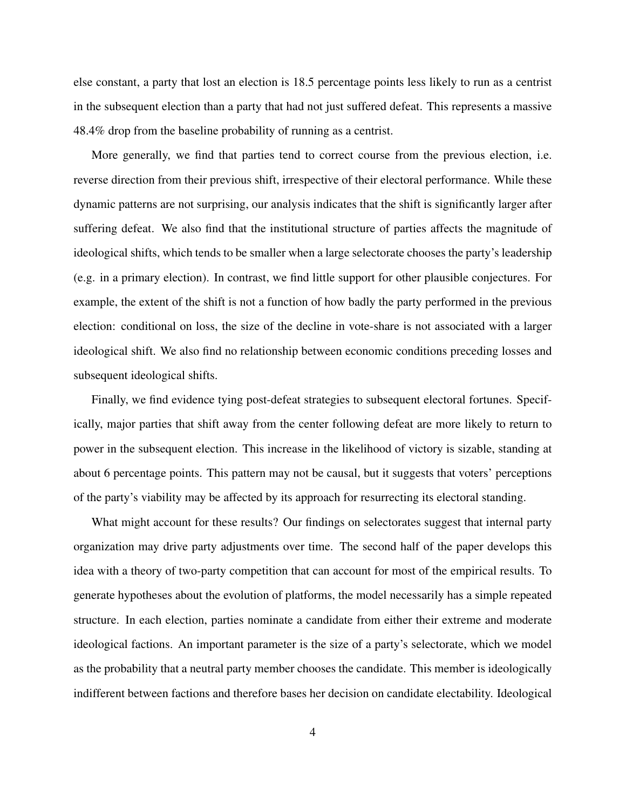else constant, a party that lost an election is 18.5 percentage points less likely to run as a centrist in the subsequent election than a party that had not just suffered defeat. This represents a massive 48.4% drop from the baseline probability of running as a centrist.

More generally, we find that parties tend to correct course from the previous election, i.e. reverse direction from their previous shift, irrespective of their electoral performance. While these dynamic patterns are not surprising, our analysis indicates that the shift is significantly larger after suffering defeat. We also find that the institutional structure of parties affects the magnitude of ideological shifts, which tends to be smaller when a large selectorate chooses the party's leadership (e.g. in a primary election). In contrast, we find little support for other plausible conjectures. For example, the extent of the shift is not a function of how badly the party performed in the previous election: conditional on loss, the size of the decline in vote-share is not associated with a larger ideological shift. We also find no relationship between economic conditions preceding losses and subsequent ideological shifts.

Finally, we find evidence tying post-defeat strategies to subsequent electoral fortunes. Specifically, major parties that shift away from the center following defeat are more likely to return to power in the subsequent election. This increase in the likelihood of victory is sizable, standing at about 6 percentage points. This pattern may not be causal, but it suggests that voters' perceptions of the party's viability may be affected by its approach for resurrecting its electoral standing.

What might account for these results? Our findings on selectorates suggest that internal party organization may drive party adjustments over time. The second half of the paper develops this idea with a theory of two-party competition that can account for most of the empirical results. To generate hypotheses about the evolution of platforms, the model necessarily has a simple repeated structure. In each election, parties nominate a candidate from either their extreme and moderate ideological factions. An important parameter is the size of a party's selectorate, which we model as the probability that a neutral party member chooses the candidate. This member is ideologically indifferent between factions and therefore bases her decision on candidate electability. Ideological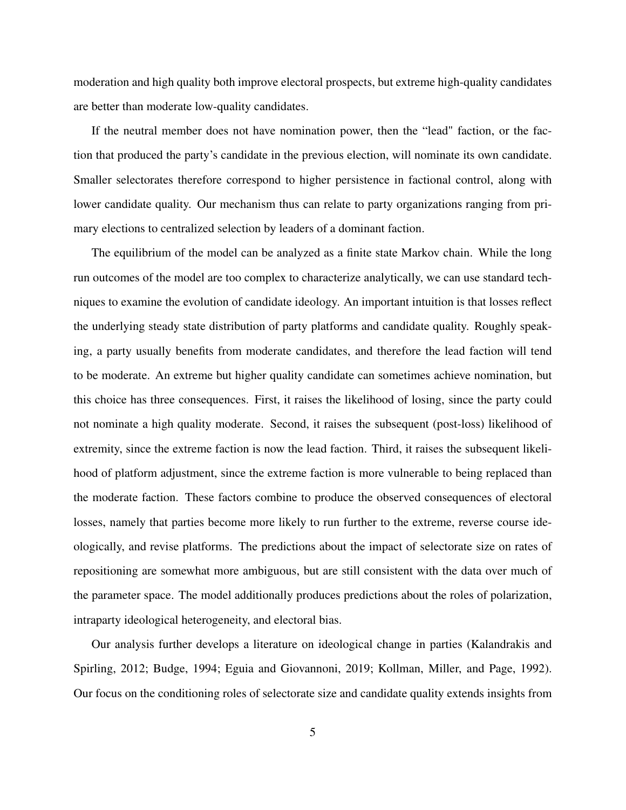moderation and high quality both improve electoral prospects, but extreme high-quality candidates are better than moderate low-quality candidates.

If the neutral member does not have nomination power, then the "lead" faction, or the faction that produced the party's candidate in the previous election, will nominate its own candidate. Smaller selectorates therefore correspond to higher persistence in factional control, along with lower candidate quality. Our mechanism thus can relate to party organizations ranging from primary elections to centralized selection by leaders of a dominant faction.

The equilibrium of the model can be analyzed as a finite state Markov chain. While the long run outcomes of the model are too complex to characterize analytically, we can use standard techniques to examine the evolution of candidate ideology. An important intuition is that losses reflect the underlying steady state distribution of party platforms and candidate quality. Roughly speaking, a party usually benefits from moderate candidates, and therefore the lead faction will tend to be moderate. An extreme but higher quality candidate can sometimes achieve nomination, but this choice has three consequences. First, it raises the likelihood of losing, since the party could not nominate a high quality moderate. Second, it raises the subsequent (post-loss) likelihood of extremity, since the extreme faction is now the lead faction. Third, it raises the subsequent likelihood of platform adjustment, since the extreme faction is more vulnerable to being replaced than the moderate faction. These factors combine to produce the observed consequences of electoral losses, namely that parties become more likely to run further to the extreme, reverse course ideologically, and revise platforms. The predictions about the impact of selectorate size on rates of repositioning are somewhat more ambiguous, but are still consistent with the data over much of the parameter space. The model additionally produces predictions about the roles of polarization, intraparty ideological heterogeneity, and electoral bias.

Our analysis further develops a literature on ideological change in parties [\(Kalandrakis and](#page-35-3) [Spirling, 2012;](#page-35-3) [Budge, 1994;](#page-34-3) [Eguia and Giovannoni, 2019;](#page-35-4) [Kollman, Miller, and Page, 1992\)](#page-36-1). Our focus on the conditioning roles of selectorate size and candidate quality extends insights from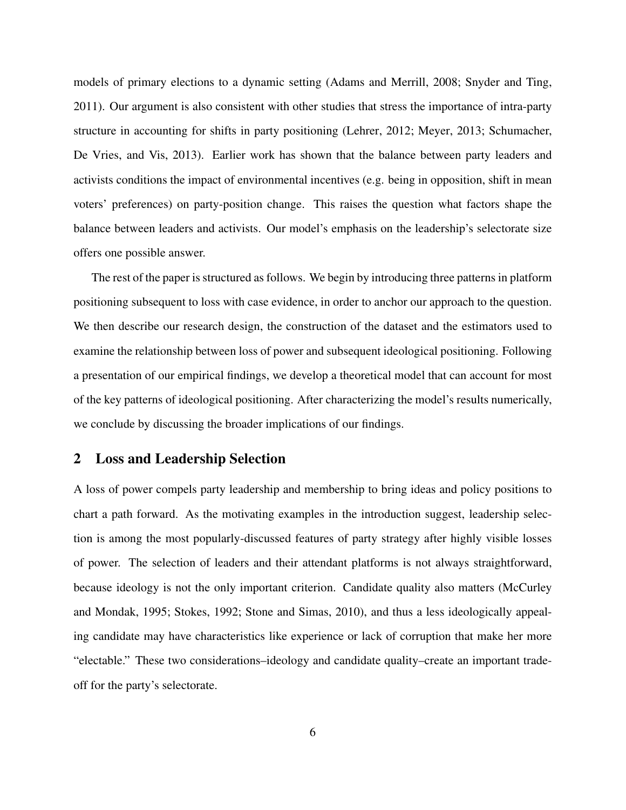models of primary elections to a dynamic setting [\(Adams and Merrill, 2008;](#page-34-4) [Snyder and Ting,](#page-37-2) [2011\)](#page-37-2). Our argument is also consistent with other studies that stress the importance of intra-party structure in accounting for shifts in party positioning [\(Lehrer, 2012;](#page-36-2) [Meyer, 2013;](#page-36-3) [Schumacher,](#page-37-3) [De Vries, and Vis, 2013\)](#page-37-3). Earlier work has shown that the balance between party leaders and activists conditions the impact of environmental incentives (e.g. being in opposition, shift in mean voters' preferences) on party-position change. This raises the question what factors shape the balance between leaders and activists. Our model's emphasis on the leadership's selectorate size offers one possible answer.

The rest of the paper is structured as follows. We begin by introducing three patterns in platform positioning subsequent to loss with case evidence, in order to anchor our approach to the question. We then describe our research design, the construction of the dataset and the estimators used to examine the relationship between loss of power and subsequent ideological positioning. Following a presentation of our empirical findings, we develop a theoretical model that can account for most of the key patterns of ideological positioning. After characterizing the model's results numerically, we conclude by discussing the broader implications of our findings.

## <span id="page-5-0"></span>2 Loss and Leadership Selection

A loss of power compels party leadership and membership to bring ideas and policy positions to chart a path forward. As the motivating examples in the introduction suggest, leadership selection is among the most popularly-discussed features of party strategy after highly visible losses of power. The selection of leaders and their attendant platforms is not always straightforward, because ideology is not the only important criterion. Candidate quality also matters [\(McCurley](#page-36-4) [and Mondak, 1995;](#page-36-4) [Stokes, 1992;](#page-37-4) [Stone and Simas, 2010\)](#page-37-5), and thus a less ideologically appealing candidate may have characteristics like experience or lack of corruption that make her more "electable." These two considerations–ideology and candidate quality–create an important tradeoff for the party's selectorate.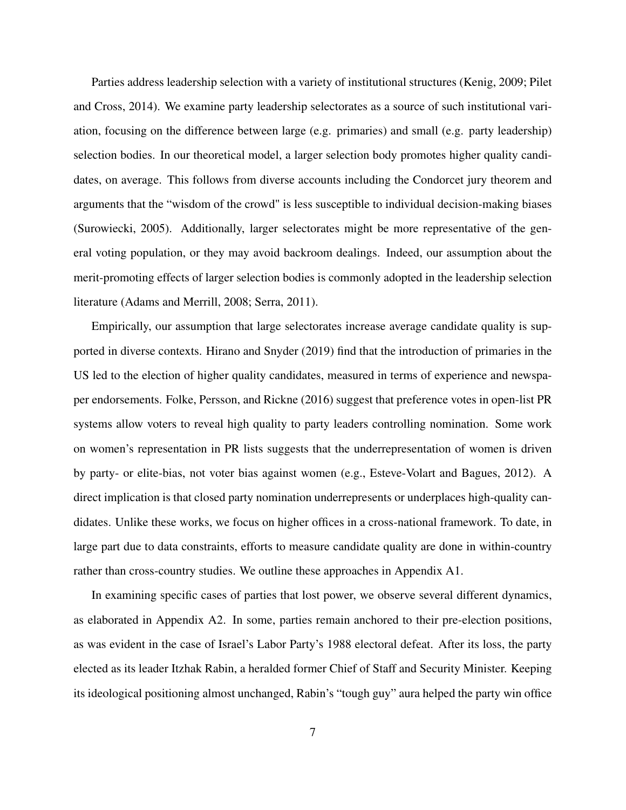Parties address leadership selection with a variety of institutional structures [\(Kenig, 2009;](#page-35-5) [Pilet](#page-36-5) [and Cross, 2014\)](#page-36-5). We examine party leadership selectorates as a source of such institutional variation, focusing on the difference between large (e.g. primaries) and small (e.g. party leadership) selection bodies. In our theoretical model, a larger selection body promotes higher quality candidates, on average. This follows from diverse accounts including the Condorcet jury theorem and arguments that the "wisdom of the crowd" is less susceptible to individual decision-making biases [\(Surowiecki, 2005\)](#page-37-6). Additionally, larger selectorates might be more representative of the general voting population, or they may avoid backroom dealings. Indeed, our assumption about the merit-promoting effects of larger selection bodies is commonly adopted in the leadership selection literature [\(Adams and Merrill, 2008;](#page-34-4) [Serra, 2011\)](#page-37-7).

Empirically, our assumption that large selectorates increase average candidate quality is supported in diverse contexts. [Hirano and Snyder](#page-35-6) [\(2019\)](#page-35-6) find that the introduction of primaries in the US led to the election of higher quality candidates, measured in terms of experience and newspaper endorsements. [Folke, Persson, and Rickne](#page-35-7) [\(2016\)](#page-35-7) suggest that preference votes in open-list PR systems allow voters to reveal high quality to party leaders controlling nomination. Some work on women's representation in PR lists suggests that the underrepresentation of women is driven by party- or elite-bias, not voter bias against women (e.g., [Esteve-Volart and Bagues, 2012\)](#page-35-8). A direct implication is that closed party nomination underrepresents or underplaces high-quality candidates. Unlike these works, we focus on higher offices in a cross-national framework. To date, in large part due to data constraints, efforts to measure candidate quality are done in within-country rather than cross-country studies. We outline these approaches in Appendix [A1.](#page-1-0)

In examining specific cases of parties that lost power, we observe several different dynamics, as elaborated in Appendix [A2.](#page-5-0) In some, parties remain anchored to their pre-election positions, as was evident in the case of Israel's Labor Party's 1988 electoral defeat. After its loss, the party elected as its leader Itzhak Rabin, a heralded former Chief of Staff and Security Minister. Keeping its ideological positioning almost unchanged, Rabin's "tough guy" aura helped the party win office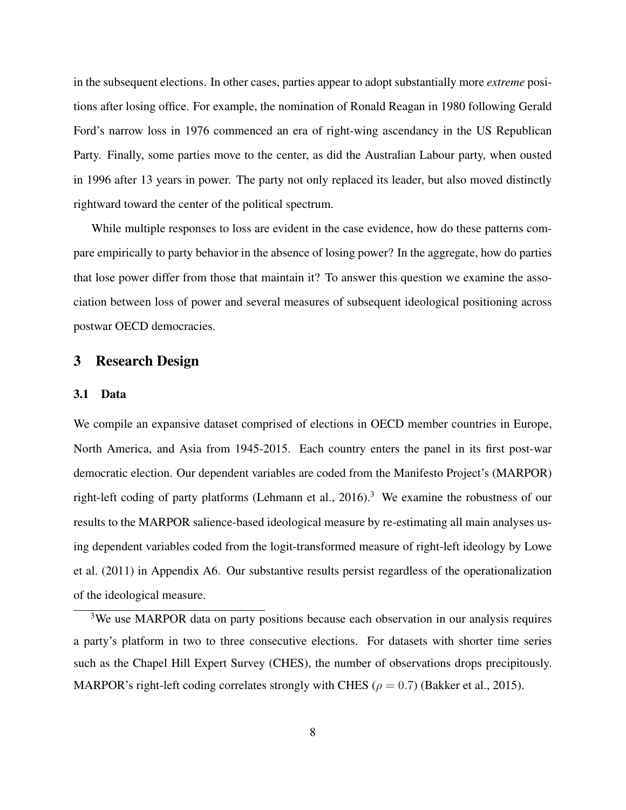in the subsequent elections. In other cases, parties appear to adopt substantially more *extreme* positions after losing office. For example, the nomination of Ronald Reagan in 1980 following Gerald Ford's narrow loss in 1976 commenced an era of right-wing ascendancy in the US Republican Party. Finally, some parties move to the center, as did the Australian Labour party, when ousted in 1996 after 13 years in power. The party not only replaced its leader, but also moved distinctly rightward toward the center of the political spectrum.

While multiple responses to loss are evident in the case evidence, how do these patterns compare empirically to party behavior in the absence of losing power? In the aggregate, how do parties that lose power differ from those that maintain it? To answer this question we examine the association between loss of power and several measures of subsequent ideological positioning across postwar OECD democracies.

# <span id="page-7-0"></span>3 Research Design

## 3.1 Data

We compile an expansive dataset comprised of elections in OECD member countries in Europe, North America, and Asia from 1945-2015. Each country enters the panel in its first post-war democratic election. Our dependent variables are coded from the Manifesto Project's (MARPOR) right-left coding of party platforms (Lehmann et al.,  $2016$ ).<sup>[3](#page-0-0)</sup> We examine the robustness of our results to the MARPOR salience-based ideological measure by re-estimating all main analyses using dependent variables coded from the logit-transformed measure of right-left ideology by [Lowe](#page-36-7) [et al.](#page-36-7) [\(2011\)](#page-36-7) in Appendix [A6.](#page-24-0) Our substantive results persist regardless of the operationalization of the ideological measure.

<sup>3</sup>We use MARPOR data on party positions because each observation in our analysis requires a party's platform in two to three consecutive elections. For datasets with shorter time series such as the Chapel Hill Expert Survey (CHES), the number of observations drops precipitously. MARPOR's right-left coding correlates strongly with CHES ( $\rho = 0.7$ ) [\(Bakker et al., 2015\)](#page-34-5).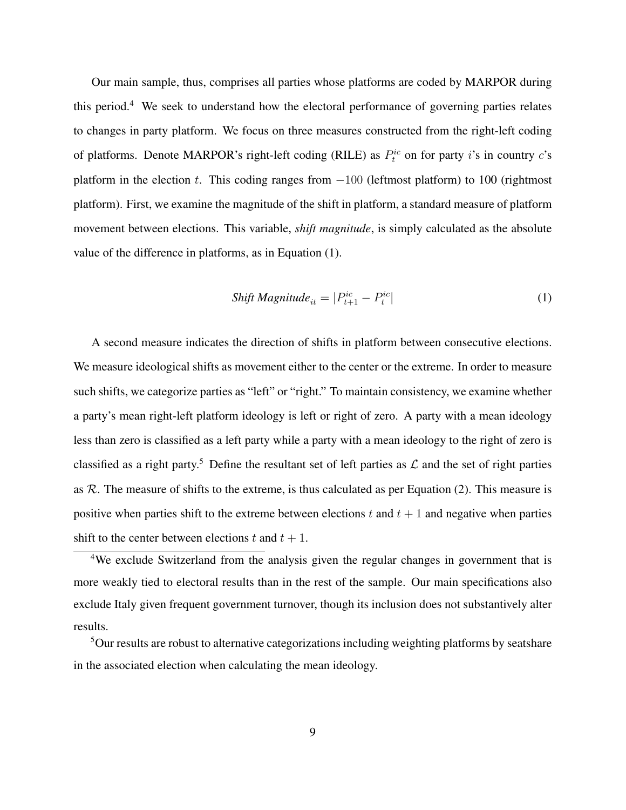Our main sample, thus, comprises all parties whose platforms are coded by MARPOR during this period.<sup>[4](#page-0-0)</sup> We seek to understand how the electoral performance of governing parties relates to changes in party platform. We focus on three measures constructed from the right-left coding of platforms. Denote MARPOR's right-left coding (RILE) as  $P_t^{ic}$  on for party i's in country c's platform in the election t. This coding ranges from  $-100$  (leftmost platform) to 100 (rightmost platform). First, we examine the magnitude of the shift in platform, a standard measure of platform movement between elections. This variable, *shift magnitude*, is simply calculated as the absolute value of the difference in platforms, as in Equation [\(1\)](#page-8-0).

<span id="page-8-0"></span>
$$
Shift Magnitude_{it} = |P_{t+1}^{ic} - P_{t}^{ic}|
$$
\n(1)

A second measure indicates the direction of shifts in platform between consecutive elections. We measure ideological shifts as movement either to the center or the extreme. In order to measure such shifts, we categorize parties as "left" or "right." To maintain consistency, we examine whether a party's mean right-left platform ideology is left or right of zero. A party with a mean ideology less than zero is classified as a left party while a party with a mean ideology to the right of zero is classified as a right party.<sup>[5](#page-0-0)</sup> Define the resultant set of left parties as  $\mathcal L$  and the set of right parties as  $R$ . The measure of shifts to the extreme, is thus calculated as per Equation [\(2\)](#page-9-0). This measure is positive when parties shift to the extreme between elections t and  $t + 1$  and negative when parties shift to the center between elections t and  $t + 1$ .

<sup>4</sup>We exclude Switzerland from the analysis given the regular changes in government that is more weakly tied to electoral results than in the rest of the sample. Our main specifications also exclude Italy given frequent government turnover, though its inclusion does not substantively alter results.

<sup>5</sup>Our results are robust to alternative categorizations including weighting platforms by seatshare in the associated election when calculating the mean ideology.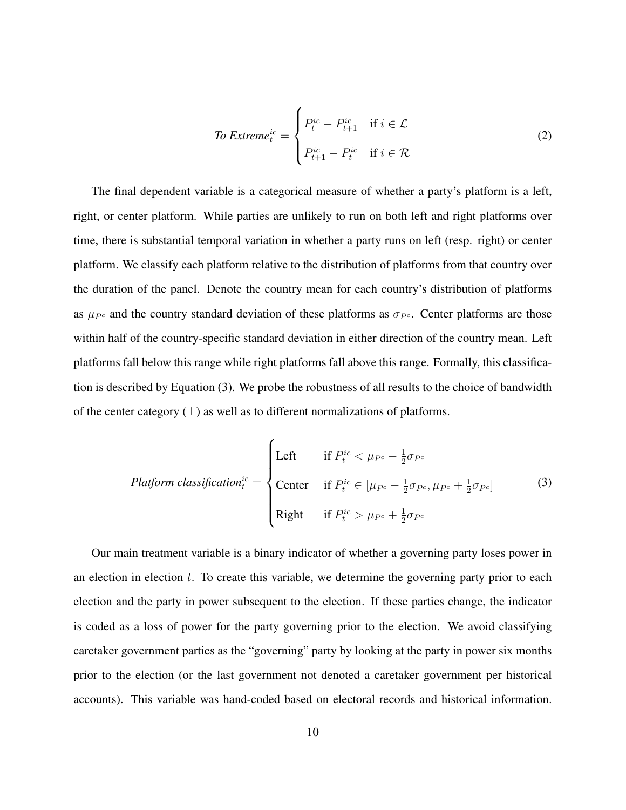<span id="page-9-0"></span>
$$
To Extreme_t^{ic} = \begin{cases} P_t^{ic} - P_{t+1}^{ic} & \text{if } i \in \mathcal{L} \\ P_{t+1}^{ic} - P_t^{ic} & \text{if } i \in \mathcal{R} \end{cases}
$$
 (2)

The final dependent variable is a categorical measure of whether a party's platform is a left, right, or center platform. While parties are unlikely to run on both left and right platforms over time, there is substantial temporal variation in whether a party runs on left (resp. right) or center platform. We classify each platform relative to the distribution of platforms from that country over the duration of the panel. Denote the country mean for each country's distribution of platforms as  $\mu_{P^c}$  and the country standard deviation of these platforms as  $\sigma_{P^c}$ . Center platforms are those within half of the country-specific standard deviation in either direction of the country mean. Left platforms fall below this range while right platforms fall above this range. Formally, this classification is described by Equation [\(3\)](#page-9-1). We probe the robustness of all results to the choice of bandwidth of the center category  $(\pm)$  as well as to different normalizations of platforms.

<span id="page-9-1"></span>
$$
Platform \; classification_t^{ic} = \begin{cases} \text{Left} & \text{if } P_t^{ic} < \mu_{P^c} - \frac{1}{2}\sigma_{P^c} \\ \text{Center} & \text{if } P_t^{ic} \in [\mu_{P^c} - \frac{1}{2}\sigma_{P^c}, \mu_{P^c} + \frac{1}{2}\sigma_{P^c}] \end{cases} \tag{3}
$$

Our main treatment variable is a binary indicator of whether a governing party loses power in an election in election  $t$ . To create this variable, we determine the governing party prior to each election and the party in power subsequent to the election. If these parties change, the indicator is coded as a loss of power for the party governing prior to the election. We avoid classifying caretaker government parties as the "governing" party by looking at the party in power six months prior to the election (or the last government not denoted a caretaker government per historical accounts). This variable was hand-coded based on electoral records and historical information.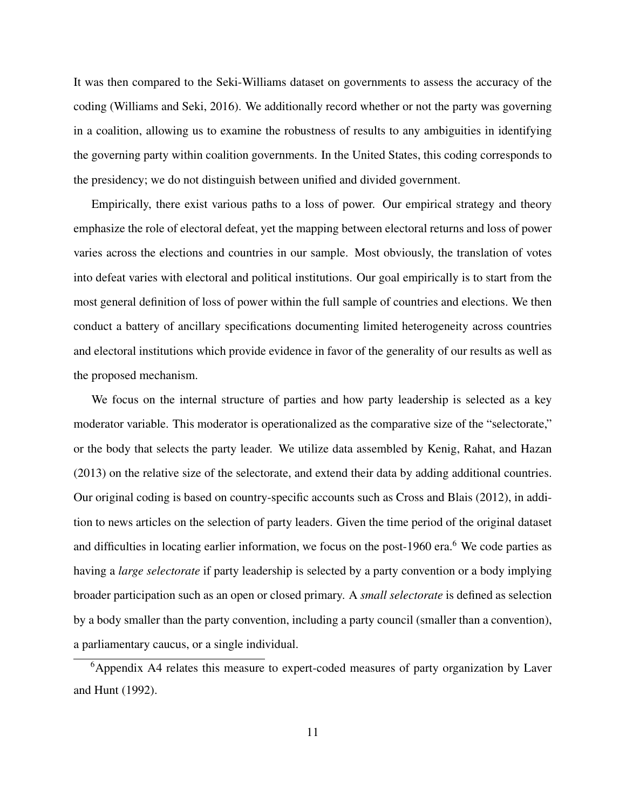It was then compared to the Seki-Williams dataset on governments to assess the accuracy of the coding [\(Williams and Seki, 2016\)](#page-37-8). We additionally record whether or not the party was governing in a coalition, allowing us to examine the robustness of results to any ambiguities in identifying the governing party within coalition governments. In the United States, this coding corresponds to the presidency; we do not distinguish between unified and divided government.

Empirically, there exist various paths to a loss of power. Our empirical strategy and theory emphasize the role of electoral defeat, yet the mapping between electoral returns and loss of power varies across the elections and countries in our sample. Most obviously, the translation of votes into defeat varies with electoral and political institutions. Our goal empirically is to start from the most general definition of loss of power within the full sample of countries and elections. We then conduct a battery of ancillary specifications documenting limited heterogeneity across countries and electoral institutions which provide evidence in favor of the generality of our results as well as the proposed mechanism.

We focus on the internal structure of parties and how party leadership is selected as a key moderator variable. This moderator is operationalized as the comparative size of the "selectorate," or the body that selects the party leader. We utilize data assembled by [Kenig, Rahat, and Hazan](#page-36-8) [\(2013\)](#page-36-8) on the relative size of the selectorate, and extend their data by adding additional countries. Our original coding is based on country-specific accounts such as [Cross and Blais](#page-35-9) [\(2012\)](#page-35-9), in addition to news articles on the selection of party leaders. Given the time period of the original dataset and difficulties in locating earlier information, we focus on the post-19[6](#page-0-0)0 era.<sup>6</sup> We code parties as having a *large selectorate* if party leadership is selected by a party convention or a body implying broader participation such as an open or closed primary. A *small selectorate* is defined as selection by a body smaller than the party convention, including a party council (smaller than a convention), a parliamentary caucus, or a single individual.

<sup>&</sup>lt;sup>6</sup>Appendix [A4](#page-12-0) relates this measure to expert-coded measures of party organization by [Laver](#page-36-9) [and Hunt](#page-36-9) [\(1992\)](#page-36-9).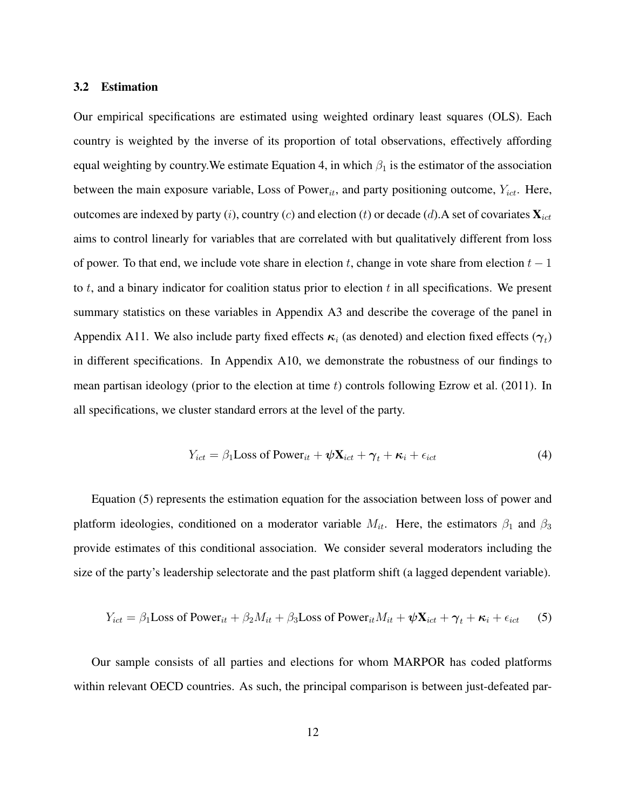#### 3.2 Estimation

Our empirical specifications are estimated using weighted ordinary least squares (OLS). Each country is weighted by the inverse of its proportion of total observations, effectively affording equal weighting by country. We estimate Equation [4,](#page-11-0) in which  $\beta_1$  is the estimator of the association between the main exposure variable, Loss of Power<sub>it</sub>, and party positioning outcome,  $Y_{ict}$ . Here, outcomes are indexed by party (i), country (c) and election (t) or decade (d). A set of covariates  $\mathbf{X}_{ict}$ aims to control linearly for variables that are correlated with but qualitatively different from loss of power. To that end, we include vote share in election t, change in vote share from election  $t - 1$ to  $t$ , and a binary indicator for coalition status prior to election  $t$  in all specifications. We present summary statistics on these variables in Appendix [A3](#page-7-0) and describe the coverage of the panel in Appendix [A11.](#page-0-0) We also include party fixed effects  $\kappa_i$  (as denoted) and election fixed effects  $(\gamma_t)$ in different specifications. In Appendix [A10,](#page-0-0) we demonstrate the robustness of our findings to mean partisan ideology (prior to the election at time  $t$ ) controls following [Ezrow et al.](#page-35-2) [\(2011\)](#page-35-2). In all specifications, we cluster standard errors at the level of the party.

<span id="page-11-1"></span><span id="page-11-0"></span>
$$
Y_{ict} = \beta_1 \text{Loss of Power}_{it} + \psi \mathbf{X}_{ict} + \gamma_t + \kappa_i + \epsilon_{ict}
$$
\n
$$
\tag{4}
$$

Equation [\(5\)](#page-11-1) represents the estimation equation for the association between loss of power and platform ideologies, conditioned on a moderator variable  $M_{it}$ . Here, the estimators  $\beta_1$  and  $\beta_3$ provide estimates of this conditional association. We consider several moderators including the size of the party's leadership selectorate and the past platform shift (a lagged dependent variable).

$$
Y_{ict} = \beta_1 \text{Loss of Power}_{it} + \beta_2 M_{it} + \beta_3 \text{Loss of Power}_{it} M_{it} + \psi \mathbf{X}_{ict} + \gamma_t + \kappa_i + \epsilon_{ict} \tag{5}
$$

Our sample consists of all parties and elections for whom MARPOR has coded platforms within relevant OECD countries. As such, the principal comparison is between just-defeated par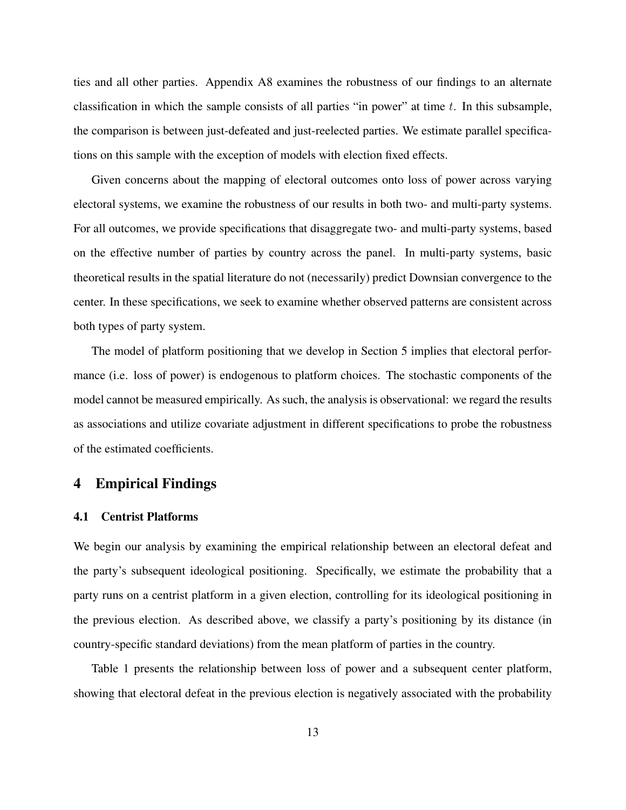ties and all other parties. Appendix [A8](#page-0-0) examines the robustness of our findings to an alternate classification in which the sample consists of all parties "in power" at time  $t$ . In this subsample, the comparison is between just-defeated and just-reelected parties. We estimate parallel specifications on this sample with the exception of models with election fixed effects.

Given concerns about the mapping of electoral outcomes onto loss of power across varying electoral systems, we examine the robustness of our results in both two- and multi-party systems. For all outcomes, we provide specifications that disaggregate two- and multi-party systems, based on the effective number of parties by country across the panel. In multi-party systems, basic theoretical results in the spatial literature do not (necessarily) predict Downsian convergence to the center. In these specifications, we seek to examine whether observed patterns are consistent across both types of party system.

The model of platform positioning that we develop in Section [5](#page-21-0) implies that electoral performance (i.e. loss of power) is endogenous to platform choices. The stochastic components of the model cannot be measured empirically. As such, the analysis is observational: we regard the results as associations and utilize covariate adjustment in different specifications to probe the robustness of the estimated coefficients.

# <span id="page-12-0"></span>4 Empirical Findings

## 4.1 Centrist Platforms

We begin our analysis by examining the empirical relationship between an electoral defeat and the party's subsequent ideological positioning. Specifically, we estimate the probability that a party runs on a centrist platform in a given election, controlling for its ideological positioning in the previous election. As described above, we classify a party's positioning by its distance (in country-specific standard deviations) from the mean platform of parties in the country.

Table [1](#page-14-0) presents the relationship between loss of power and a subsequent center platform, showing that electoral defeat in the previous election is negatively associated with the probability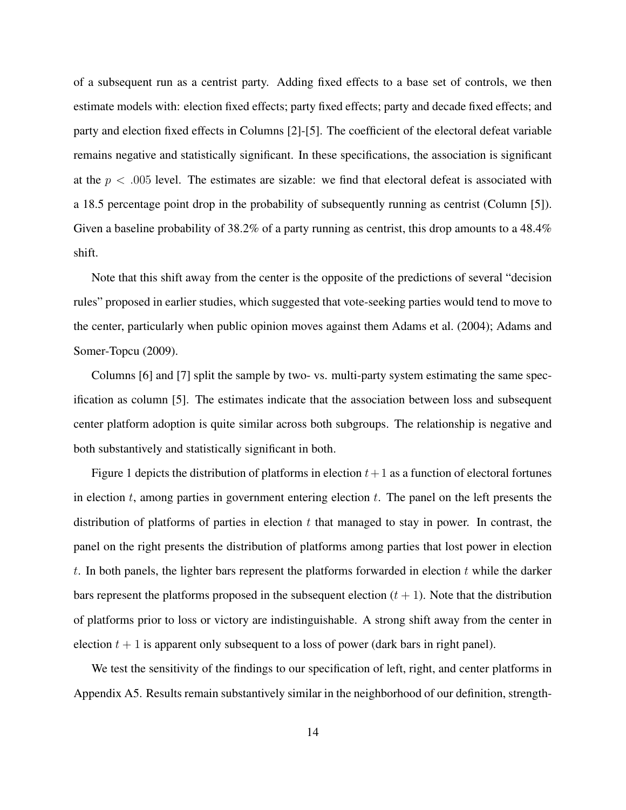of a subsequent run as a centrist party. Adding fixed effects to a base set of controls, we then estimate models with: election fixed effects; party fixed effects; party and decade fixed effects; and party and election fixed effects in Columns [2]-[5]. The coefficient of the electoral defeat variable remains negative and statistically significant. In these specifications, the association is significant at the  $p < .005$  level. The estimates are sizable: we find that electoral defeat is associated with a 18.5 percentage point drop in the probability of subsequently running as centrist (Column [5]). Given a baseline probability of 38.2% of a party running as centrist, this drop amounts to a 48.4% shift.

Note that this shift away from the center is the opposite of the predictions of several "decision rules" proposed in earlier studies, which suggested that vote-seeking parties would tend to move to the center, particularly when public opinion moves against them [Adams et al.](#page-34-0) [\(2004\)](#page-34-0); [Adams and](#page-34-6) [Somer-Topcu](#page-34-6) [\(2009\)](#page-34-6).

Columns [6] and [7] split the sample by two- vs. multi-party system estimating the same specification as column [5]. The estimates indicate that the association between loss and subsequent center platform adoption is quite similar across both subgroups. The relationship is negative and both substantively and statistically significant in both.

Figure 1 depicts the distribution of platforms in election  $t+1$  as a function of electoral fortunes in election  $t$ , among parties in government entering election  $t$ . The panel on the left presents the distribution of platforms of parties in election  $t$  that managed to stay in power. In contrast, the panel on the right presents the distribution of platforms among parties that lost power in election t. In both panels, the lighter bars represent the platforms forwarded in election  $t$  while the darker bars represent the platforms proposed in the subsequent election  $(t + 1)$ . Note that the distribution of platforms prior to loss or victory are indistinguishable. A strong shift away from the center in election  $t + 1$  is apparent only subsequent to a loss of power (dark bars in right panel).

We test the sensitivity of the findings to our specification of left, right, and center platforms in Appendix [A5.](#page-21-0) Results remain substantively similar in the neighborhood of our definition, strength-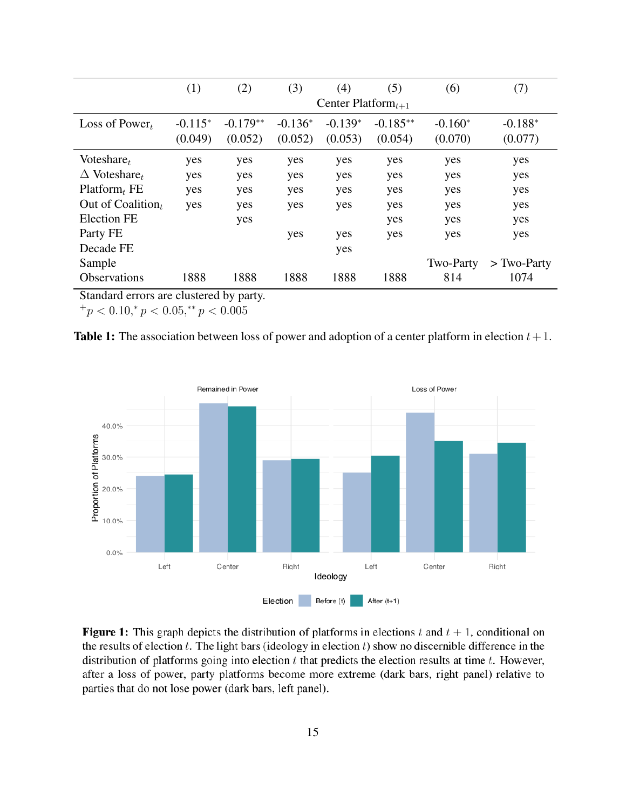<span id="page-14-0"></span>

|                                 | (1)       | (2)        | (3)       | (4)                      | (5)        | (6)       | (7)           |
|---------------------------------|-----------|------------|-----------|--------------------------|------------|-----------|---------------|
|                                 |           |            |           | Center Platform $_{t+1}$ |            |           |               |
| Loss of Power $t$               | $-0.115*$ | $-0.179**$ | $-0.136*$ | $-0.139*$                | $-0.185**$ | $-0.160*$ | $-0.188*$     |
|                                 | (0.049)   | (0.052)    | (0.052)   | (0.053)                  | (0.054)    | (0.070)   | (0.077)       |
| Voteshare $t$                   | yes       | yes        | yes       | yes                      | yes        | yes       | yes           |
| $\Delta$ Voteshare <sub>t</sub> | yes       | yes        | yes       | yes                      | yes        | yes       | yes           |
| $Platform_t FE$                 | yes       | yes        | yes       | yes                      | yes        | yes       | yes           |
| Out of Coalition,               | yes       | yes        | yes       | yes                      | yes        | yes       | yes           |
| <b>Election FE</b>              |           | yes        |           |                          | yes        | yes       | yes           |
| Party FE                        |           |            | yes       | yes                      | yes        | yes       | yes           |
| Decade FE                       |           |            |           | yes                      |            |           |               |
| Sample                          |           |            |           |                          |            | Two-Party | $>$ Two-Party |
| <b>Observations</b>             | 1888      | 1888       | 1888      | 1888                     | 1888       | 814       | 1074          |

Standard errors are clustered by party.

 $^{+}p$  < 0.10,\*  $p$  < 0.05,\*\*  $p$  < 0.005





**Figure 1:** This graph depicts the distribution of platforms in elections t and  $t + 1$ , conditional on the results of election  $t$ . The light bars (ideology in election  $t$ ) show no discernible difference in the distribution of platforms going into election  $t$  that predicts the election results at time  $t$ . However, after a loss of power, party platforms become more extreme (dark bars, right panel) relative to parties that do not lose power (dark bars, left panel).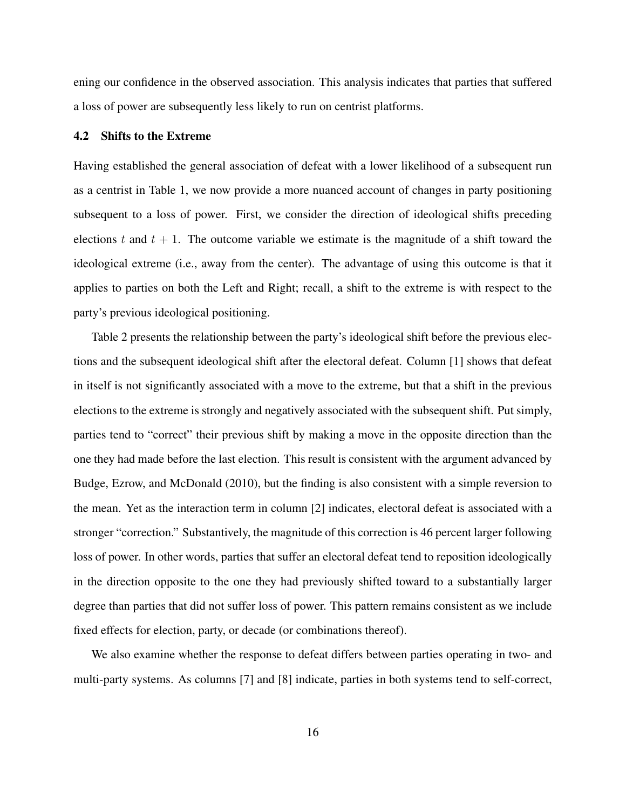ening our confidence in the observed association. This analysis indicates that parties that suffered a loss of power are subsequently less likely to run on centrist platforms.

### 4.2 Shifts to the Extreme

Having established the general association of defeat with a lower likelihood of a subsequent run as a centrist in Table [1,](#page-14-0) we now provide a more nuanced account of changes in party positioning subsequent to a loss of power. First, we consider the direction of ideological shifts preceding elections t and  $t + 1$ . The outcome variable we estimate is the magnitude of a shift toward the ideological extreme (i.e., away from the center). The advantage of using this outcome is that it applies to parties on both the Left and Right; recall, a shift to the extreme is with respect to the party's previous ideological positioning.

Table [2](#page-16-0) presents the relationship between the party's ideological shift before the previous elections and the subsequent ideological shift after the electoral defeat. Column [1] shows that defeat in itself is not significantly associated with a move to the extreme, but that a shift in the previous elections to the extreme is strongly and negatively associated with the subsequent shift. Put simply, parties tend to "correct" their previous shift by making a move in the opposite direction than the one they had made before the last election. This result is consistent with the argument advanced by [Budge, Ezrow, and McDonald](#page-34-1) [\(2010\)](#page-34-1), but the finding is also consistent with a simple reversion to the mean. Yet as the interaction term in column [2] indicates, electoral defeat is associated with a stronger "correction." Substantively, the magnitude of this correction is 46 percent larger following loss of power. In other words, parties that suffer an electoral defeat tend to reposition ideologically in the direction opposite to the one they had previously shifted toward to a substantially larger degree than parties that did not suffer loss of power. This pattern remains consistent as we include fixed effects for election, party, or decade (or combinations thereof).

We also examine whether the response to defeat differs between parties operating in two- and multi-party systems. As columns [7] and [8] indicate, parties in both systems tend to self-correct,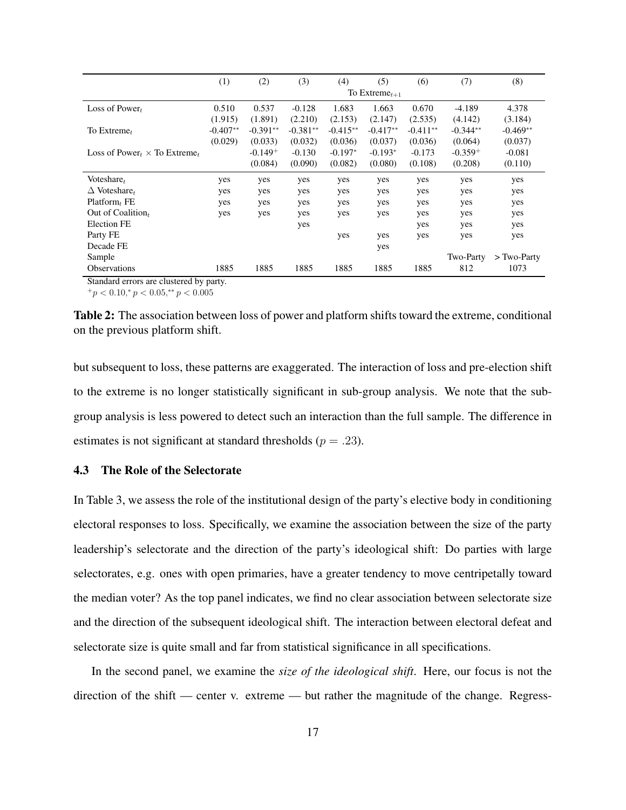<span id="page-16-0"></span>

|                                                                   | (1)        | (2)        | (3)        | (4)        | (5)                 | (6)        | (7)        | (8)           |
|-------------------------------------------------------------------|------------|------------|------------|------------|---------------------|------------|------------|---------------|
|                                                                   |            |            |            |            | To Extreme $_{t+1}$ |            |            |               |
| Loss of Power $_t$                                                | 0.510      | 0.537      | $-0.128$   | 1.683      | 1.663               | 0.670      | $-4.189$   | 4.378         |
|                                                                   | (1.915)    | (1.891)    | (2.210)    | (2.153)    | (2.147)             | (2.535)    | (4.142)    | (3.184)       |
| To Extreme $t$                                                    | $-0.407**$ | $-0.391**$ | $-0.381**$ | $-0.415**$ | $-0.417**$          | $-0.411**$ | $-0.344**$ | -0.469**      |
|                                                                   | (0.029)    | (0.033)    | (0.032)    | (0.036)    | (0.037)             | (0.036)    | (0.064)    | (0.037)       |
| Loss of Power $\times$ To Extreme,                                |            | $-0.149+$  | $-0.130$   | $-0.197*$  | $-0.193*$           | $-0.173$   | $-0.359+$  | $-0.081$      |
|                                                                   |            | (0.084)    | (0.090)    | (0.082)    | (0.080)             | (0.108)    | (0.208)    | (0.110)       |
| Voteshare $_t$                                                    | yes        | yes        | yes        | yes        | yes                 | yes        | yes        | yes           |
| $\Delta$ Voteshare <sub>t</sub>                                   | yes        | yes        | yes        | yes        | yes                 | yes        | yes        | yes           |
| Platform <sub>t</sub> FE                                          | yes        | yes        | yes        | yes        | yes                 | yes        | yes        | yes           |
| Out of Coalition $t$                                              | yes        | yes        | yes        | yes        | yes                 | yes        | yes        | yes           |
| <b>Election FE</b>                                                |            |            | yes        |            |                     | yes        | yes        | yes           |
| Party FE                                                          |            |            |            | yes        | yes                 | yes        | yes        | yes           |
| Decade FE                                                         |            |            |            |            | yes                 |            |            |               |
| Sample                                                            |            |            |            |            |                     |            | Two-Party  | $>$ Two-Party |
| <b>Observations</b><br>$\mathbf{1}$<br>$\sim$ $\sim$ $\sim$<br>л. | 1885       | 1885       | 1885       | 1885       | 1885                | 1885       | 812        | 1073          |

Standard errors are clustered by party.

 $^{+}p < 0.10, ^{*}p < 0.05, ^{**}p < 0.005$ 

Table 2: The association between loss of power and platform shifts toward the extreme, conditional on the previous platform shift.

but subsequent to loss, these patterns are exaggerated. The interaction of loss and pre-election shift to the extreme is no longer statistically significant in sub-group analysis. We note that the subgroup analysis is less powered to detect such an interaction than the full sample. The difference in estimates is not significant at standard thresholds ( $p = .23$ ).

## 4.3 The Role of the Selectorate

In Table [3,](#page-17-0) we assess the role of the institutional design of the party's elective body in conditioning electoral responses to loss. Specifically, we examine the association between the size of the party leadership's selectorate and the direction of the party's ideological shift: Do parties with large selectorates, e.g. ones with open primaries, have a greater tendency to move centripetally toward the median voter? As the top panel indicates, we find no clear association between selectorate size and the direction of the subsequent ideological shift. The interaction between electoral defeat and selectorate size is quite small and far from statistical significance in all specifications.

In the second panel, we examine the *size of the ideological shift*. Here, our focus is not the direction of the shift — center v. extreme — but rather the magnitude of the change. Regress-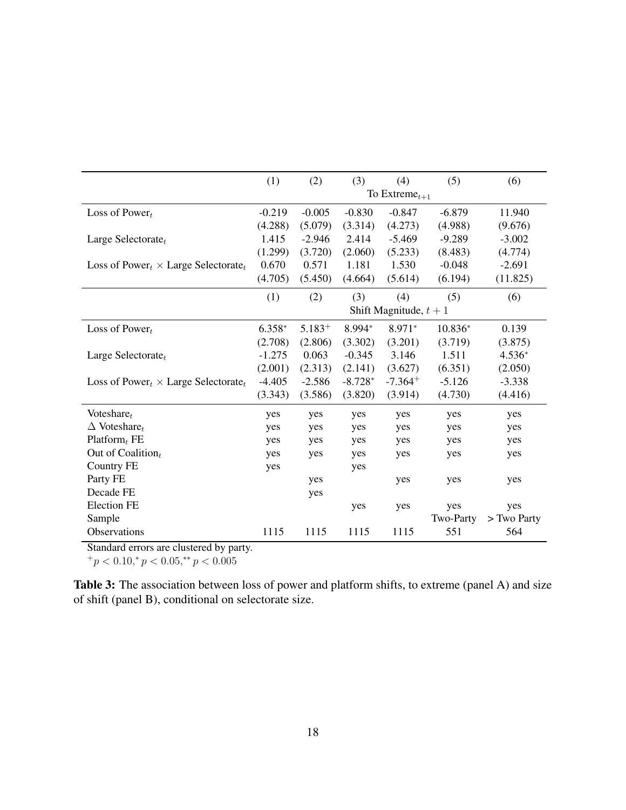<span id="page-17-0"></span>

|                                               | (1)      | (2)      | (3)       | (4)                      | (5)       | (6)         |
|-----------------------------------------------|----------|----------|-----------|--------------------------|-----------|-------------|
|                                               |          |          |           | To Extreme $_{t+1}$      |           |             |
| Loss of Power $t$                             | $-0.219$ | $-0.005$ | $-0.830$  | $-0.847$                 | $-6.879$  | 11.940      |
|                                               | (4.288)  | (5.079)  | (3.314)   | (4.273)                  | (4.988)   | (9.676)     |
| Large Selectorate $t$                         | 1.415    | $-2.946$ | 2.414     | $-5.469$                 | $-9.289$  | $-3.002$    |
|                                               | (1.299)  | (3.720)  | (2.060)   | (5.233)                  | (8.483)   | (4.774)     |
| Loss of Power $\chi \times$ Large Selectorate | 0.670    | 0.571    | 1.181     | 1.530                    | $-0.048$  | $-2.691$    |
|                                               | (4.705)  | (5.450)  | (4.664)   | (5.614)                  | (6.194)   | (11.825)    |
|                                               | (1)      | (2)      | (3)       | (4)                      | (5)       | (6)         |
|                                               |          |          |           | Shift Magnitude, $t + 1$ |           |             |
| Loss of Power $t$                             | $6.358*$ | $5.183+$ | 8.994*    | $8.971*$                 | $10.836*$ | 0.139       |
|                                               | (2.708)  | (2.806)  | (3.302)   | (3.201)                  | (3.719)   | (3.875)     |
| Large Selectorate $_t$                        | $-1.275$ | 0.063    | $-0.345$  | 3.146                    | 1.511     | $4.536*$    |
|                                               | (2.001)  | (2.313)  | (2.141)   | (3.627)                  | (6.351)   | (2.050)     |
| Loss of Power $\chi \times$ Large Selectorate | $-4.405$ | $-2.586$ | $-8.728*$ | $-7.364+$                | $-5.126$  | $-3.338$    |
|                                               | (3.343)  | (3.586)  | (3.820)   | (3.914)                  | (4.730)   | (4.416)     |
| Voteshare $t$                                 | yes      | yes      | yes       | yes                      | yes       | yes         |
| $\Delta$ Voteshare <sub>t</sub>               | yes      | yes      | yes       | yes                      | yes       | yes         |
| Platform $_t$ FE                              | yes      | yes      | yes       | yes                      | yes       | yes         |
| Out of Coalition $t$                          | yes      | yes      | yes       | yes                      | yes       | yes         |
| <b>Country FE</b>                             | yes      |          | yes       |                          |           |             |
| Party FE                                      |          | yes      |           | yes                      | yes       | yes         |
| Decade FE                                     |          | yes      |           |                          |           |             |
| <b>Election FE</b>                            |          |          | yes       | yes                      | yes       | yes         |
| Sample                                        |          |          |           |                          | Two-Party | > Two Party |
| Observations                                  | 1115     | 1115     | 1115      | 1115                     | 551       | 564         |

Standard errors are clustered by party.

 $^{+}p$  < 0.10,\*  $p$  < 0.05,\*\*  $p$  < 0.005

Table 3: The association between loss of power and platform shifts, to extreme (panel A) and size of shift (panel B), conditional on selectorate size.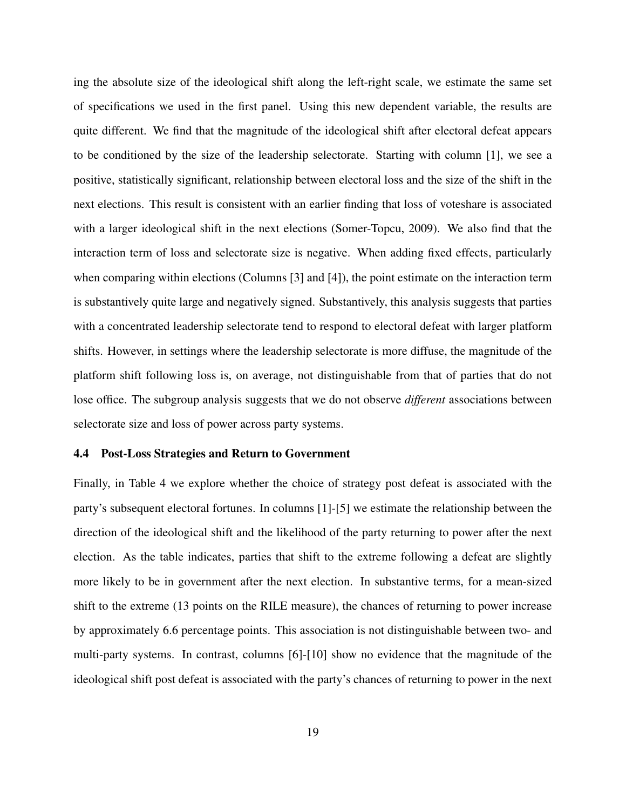ing the absolute size of the ideological shift along the left-right scale, we estimate the same set of specifications we used in the first panel. Using this new dependent variable, the results are quite different. We find that the magnitude of the ideological shift after electoral defeat appears to be conditioned by the size of the leadership selectorate. Starting with column [1], we see a positive, statistically significant, relationship between electoral loss and the size of the shift in the next elections. This result is consistent with an earlier finding that loss of voteshare is associated with a larger ideological shift in the next elections [\(Somer-Topcu, 2009\)](#page-37-0). We also find that the interaction term of loss and selectorate size is negative. When adding fixed effects, particularly when comparing within elections (Columns [3] and [4]), the point estimate on the interaction term is substantively quite large and negatively signed. Substantively, this analysis suggests that parties with a concentrated leadership selectorate tend to respond to electoral defeat with larger platform shifts. However, in settings where the leadership selectorate is more diffuse, the magnitude of the platform shift following loss is, on average, not distinguishable from that of parties that do not lose office. The subgroup analysis suggests that we do not observe *different* associations between selectorate size and loss of power across party systems.

### 4.4 Post-Loss Strategies and Return to Government

Finally, in Table [4](#page-20-0) we explore whether the choice of strategy post defeat is associated with the party's subsequent electoral fortunes. In columns [1]-[5] we estimate the relationship between the direction of the ideological shift and the likelihood of the party returning to power after the next election. As the table indicates, parties that shift to the extreme following a defeat are slightly more likely to be in government after the next election. In substantive terms, for a mean-sized shift to the extreme (13 points on the RILE measure), the chances of returning to power increase by approximately 6.6 percentage points. This association is not distinguishable between two- and multi-party systems. In contrast, columns [6]-[10] show no evidence that the magnitude of the ideological shift post defeat is associated with the party's chances of returning to power in the next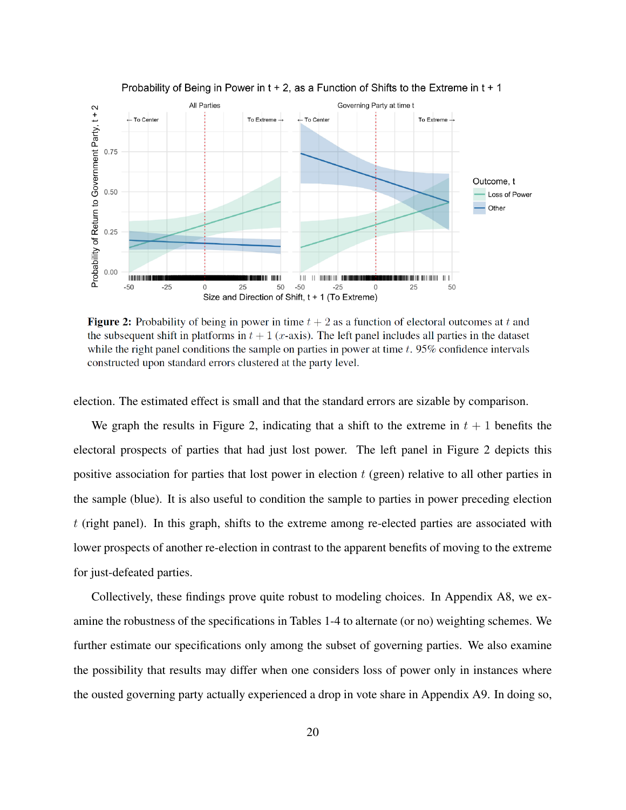

Probability of Being in Power in  $t + 2$ , as a Function of Shifts to the Extreme in  $t + 1$ 

**Figure 2:** Probability of being in power in time  $t + 2$  as a function of electoral outcomes at t and the subsequent shift in platforms in  $t + 1$  (x-axis). The left panel includes all parties in the dataset while the right panel conditions the sample on parties in power at time  $t$ . 95% confidence intervals constructed upon standard errors clustered at the party level.

election. The estimated effect is small and that the standard errors are sizable by comparison.

We graph the results in Figure 2, indicating that a shift to the extreme in  $t + 1$  benefits the electoral prospects of parties that had just lost power. The left panel in Figure 2 depicts this positive association for parties that lost power in election  $t$  (green) relative to all other parties in the sample (blue). It is also useful to condition the sample to parties in power preceding election  $t$  (right panel). In this graph, shifts to the extreme among re-elected parties are associated with lower prospects of another re-election in contrast to the apparent benefits of moving to the extreme for just-defeated parties.

Collectively, these findings prove quite robust to modeling choices. In Appendix [A8,](#page-0-0) we examine the robustness of the specifications in Tables 1-4 to alternate (or no) weighting schemes. We further estimate our specifications only among the subset of governing parties. We also examine the possibility that results may differ when one considers loss of power only in instances where the ousted governing party actually experienced a drop in vote share in Appendix [A9.](#page-0-0) In doing so,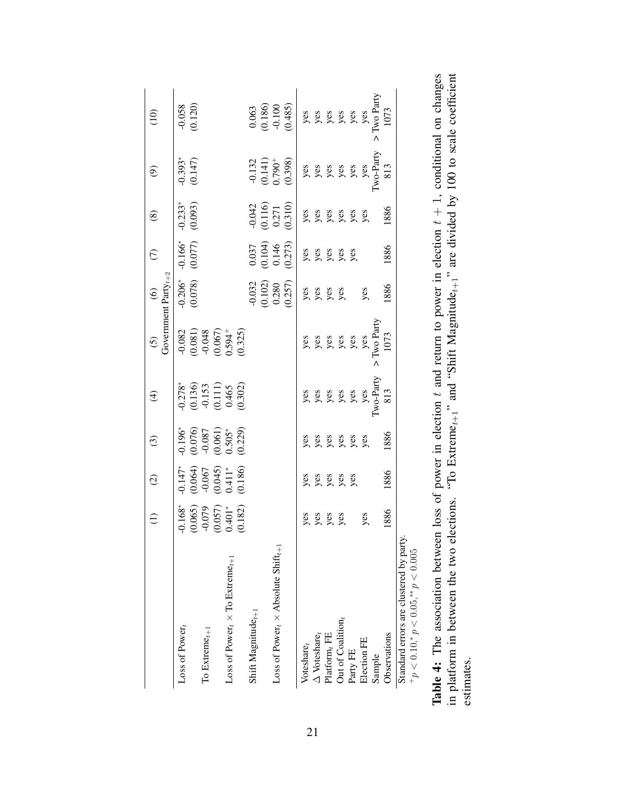<span id="page-20-0"></span>

|                                                                                                 | $\widehat{\Xi}$                                                       | $\widehat{c}$                                                                          | $\odot$                                                                 | $\widehat{\mathcal{F}}$                                                                |                                                                                      |                                               | $\widehat{C}$                                                     | $\circledS$                               | $\circledcirc$                                                                                                                                                                                 | (10)                                                                      |
|-------------------------------------------------------------------------------------------------|-----------------------------------------------------------------------|----------------------------------------------------------------------------------------|-------------------------------------------------------------------------|----------------------------------------------------------------------------------------|--------------------------------------------------------------------------------------|-----------------------------------------------|-------------------------------------------------------------------|-------------------------------------------|------------------------------------------------------------------------------------------------------------------------------------------------------------------------------------------------|---------------------------------------------------------------------------|
|                                                                                                 |                                                                       |                                                                                        |                                                                         |                                                                                        | (5) $(6)$<br>Government Party <sub><math>t+2</math></sub>                            |                                               |                                                                   |                                           |                                                                                                                                                                                                |                                                                           |
| Loss of Power,                                                                                  |                                                                       | $-0.147$ *<br>$(0.064)$<br>$-0.067$<br>$-0.067$<br>$(0.045)$<br>$0.411$ *<br>$(0.186)$ | $-0.196$ * $(0.076)$<br>$-0.087$<br>$(0.061)$<br>$(0.061)$<br>$0.505$ * | $\begin{array}{c} 0.278^* \\ 0.136) \\ -0.153 \\ 0.111) \\ 0.465 \\ 0.465 \end{array}$ | $-0.082$<br>$-0.081$ )<br>$-0.048$<br>$(0.067)$<br>$0.594$ <sup>+</sup><br>$(0.325)$ | $-0.206*$<br>$(0.078)$                        | $-0.166*$<br>(0.077)                                              | $-0.233*$<br>(0.093)                      | $-0.393$ *<br>$(0.147)$                                                                                                                                                                        |                                                                           |
|                                                                                                 |                                                                       |                                                                                        |                                                                         |                                                                                        |                                                                                      |                                               |                                                                   |                                           |                                                                                                                                                                                                | $-0.058$<br>$(0.120)$                                                     |
| To Extrem $\mathbf{e}_{t+1}$                                                                    |                                                                       |                                                                                        |                                                                         |                                                                                        |                                                                                      |                                               |                                                                   |                                           |                                                                                                                                                                                                |                                                                           |
|                                                                                                 | $-0.168$ * $(0.065)$<br>$-0.079$<br>$(0.057)$<br>$(0.401$ * $0.401$ * |                                                                                        |                                                                         |                                                                                        |                                                                                      |                                               |                                                                   |                                           |                                                                                                                                                                                                |                                                                           |
| $\rm Loss~of~Power_{t} \times To~Extreme_{t+1}$                                                 |                                                                       |                                                                                        |                                                                         |                                                                                        |                                                                                      |                                               |                                                                   |                                           |                                                                                                                                                                                                |                                                                           |
|                                                                                                 |                                                                       |                                                                                        |                                                                         |                                                                                        |                                                                                      |                                               |                                                                   |                                           |                                                                                                                                                                                                |                                                                           |
| Shift Magnitude $_{t+1}$                                                                        |                                                                       |                                                                                        |                                                                         |                                                                                        |                                                                                      |                                               |                                                                   |                                           |                                                                                                                                                                                                |                                                                           |
|                                                                                                 |                                                                       |                                                                                        |                                                                         |                                                                                        |                                                                                      |                                               |                                                                   |                                           |                                                                                                                                                                                                |                                                                           |
| Loss of Power, $\times$ Absolute Shift <sub><math>t+1</math></sub>                              |                                                                       |                                                                                        |                                                                         |                                                                                        |                                                                                      |                                               |                                                                   |                                           |                                                                                                                                                                                                |                                                                           |
|                                                                                                 |                                                                       |                                                                                        |                                                                         |                                                                                        |                                                                                      | $-0.032$<br>$(0.102)$<br>$0.280$<br>$(0.257)$ | $\begin{array}{c} 0.037 \\ 0.104) \\ 0.146 \\ 0.273) \end{array}$ | $-0.042$<br>$0.116$<br>$0.271$<br>$0.310$ | -0.132<br>$(0.141)$<br>$(0.790+)$<br>$(0.790+)$<br>$(0.988)$<br>$(0.398)$<br>$(0.998)$<br>$(0.998)$<br>$(0.998)$<br>$(0.998)$<br>$(0.998)$<br>$(0.998)$<br>$(0.998)$<br>$(0.998)$<br>$(0.998)$ | $\begin{array}{c} 0.063 \\ 0.186) \\ -0.100 \\ \hline 0.485) \end{array}$ |
| Voteshare <sub>t</sub>                                                                          |                                                                       |                                                                                        |                                                                         |                                                                                        |                                                                                      | yes<br>yes<br>yes                             | yes<br>yes<br>yes<br>yes                                          | yes<br>yes yes<br>yes                     |                                                                                                                                                                                                |                                                                           |
| $\Delta$ Voteshare,                                                                             |                                                                       |                                                                                        |                                                                         |                                                                                        |                                                                                      |                                               |                                                                   |                                           |                                                                                                                                                                                                |                                                                           |
| Platform $_t$ FE                                                                                |                                                                       |                                                                                        |                                                                         |                                                                                        |                                                                                      |                                               |                                                                   |                                           |                                                                                                                                                                                                |                                                                           |
| Out of Coalition $_t$                                                                           | yes<br>yes<br>yes                                                     | yes<br>yes<br>yes<br>yes                                                               | yes<br>yes yes<br>yes                                                   |                                                                                        |                                                                                      |                                               |                                                                   |                                           |                                                                                                                                                                                                |                                                                           |
| Party FE                                                                                        |                                                                       |                                                                                        |                                                                         |                                                                                        |                                                                                      |                                               |                                                                   |                                           |                                                                                                                                                                                                |                                                                           |
| Election FE                                                                                     | yes                                                                   |                                                                                        |                                                                         |                                                                                        |                                                                                      | yes                                           |                                                                   |                                           |                                                                                                                                                                                                |                                                                           |
| Sample                                                                                          |                                                                       |                                                                                        |                                                                         |                                                                                        |                                                                                      |                                               |                                                                   |                                           |                                                                                                                                                                                                |                                                                           |
| Observations                                                                                    | 1886                                                                  | 1886                                                                                   | 1886                                                                    |                                                                                        |                                                                                      | 1886                                          | 1886                                                              | 1886                                      |                                                                                                                                                                                                |                                                                           |
| Standard errors are clustered by party<br>${}^{+}p$ < 0.10, ${}^{*}p$ < 0.05, ${}^{*}p$ < 0.005 |                                                                       |                                                                                        |                                                                         |                                                                                        |                                                                                      |                                               |                                                                   |                                           |                                                                                                                                                                                                |                                                                           |

**Table 4:** The association between loss of power in election t and return to power in election  $t + 1$ , conditional on changes in platform in between the two elections. "To Extreme<sub>t+1</sub>" and "Shift Magnitude<sub>t+1</sub>" are divi **Table 4:** The association between loss of power in election t and return to power in election  $t + 1$ , conditional on changes in platform in between the two elections. "To Extreme<sub>t+1</sub>" and "Shift Magnitude<sub>t+1</sub>" are divided by 100 to scale coefficient estimates.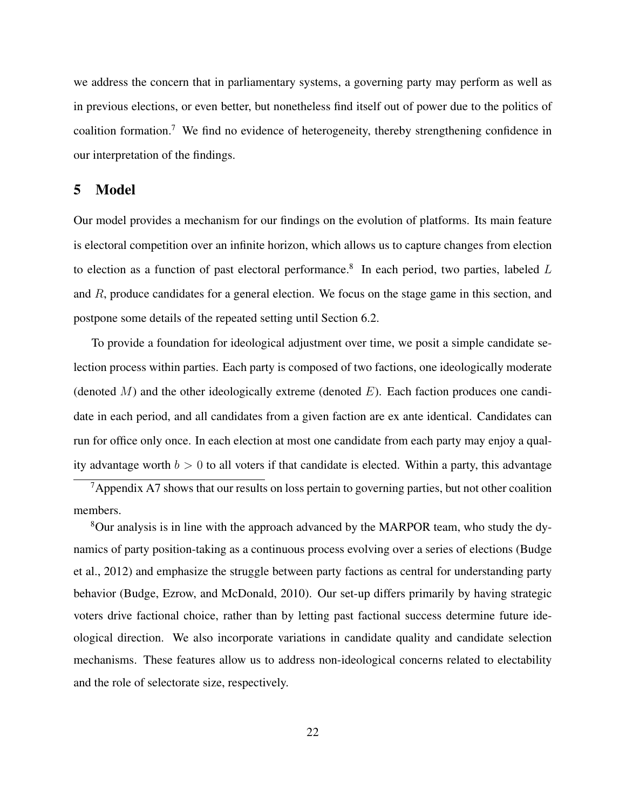we address the concern that in parliamentary systems, a governing party may perform as well as in previous elections, or even better, but nonetheless find itself out of power due to the politics of coalition formation.[7](#page-0-0) We find no evidence of heterogeneity, thereby strengthening confidence in our interpretation of the findings.

# <span id="page-21-0"></span>5 Model

Our model provides a mechanism for our findings on the evolution of platforms. Its main feature is electoral competition over an infinite horizon, which allows us to capture changes from election to election as a function of past electoral performance.<sup>[8](#page-0-0)</sup> In each period, two parties, labeled  $L$ and  $R$ , produce candidates for a general election. We focus on the stage game in this section, and postpone some details of the repeated setting until Section [6.2.](#page-26-0)

To provide a foundation for ideological adjustment over time, we posit a simple candidate selection process within parties. Each party is composed of two factions, one ideologically moderate (denoted  $M$ ) and the other ideologically extreme (denoted  $E$ ). Each faction produces one candidate in each period, and all candidates from a given faction are ex ante identical. Candidates can run for office only once. In each election at most one candidate from each party may enjoy a quality advantage worth  $b > 0$  to all voters if that candidate is elected. Within a party, this advantage

 $7$ Appendix [A7](#page-32-0) shows that our results on loss pertain to governing parties, but not other coalition members.

<sup>8</sup>Our analysis is in line with the approach advanced by the MARPOR team, who study the dynamics of party position-taking as a continuous process evolving over a series of elections [\(Budge](#page-34-7) [et al., 2012\)](#page-34-7) and emphasize the struggle between party factions as central for understanding party behavior [\(Budge, Ezrow, and McDonald, 2010\)](#page-34-1). Our set-up differs primarily by having strategic voters drive factional choice, rather than by letting past factional success determine future ideological direction. We also incorporate variations in candidate quality and candidate selection mechanisms. These features allow us to address non-ideological concerns related to electability and the role of selectorate size, respectively.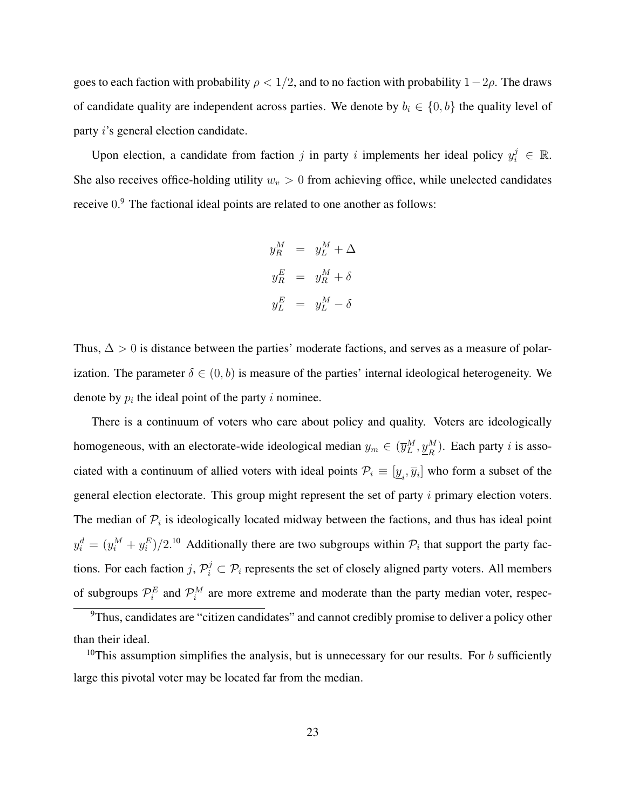goes to each faction with probability  $\rho < 1/2$ , and to no faction with probability  $1-2\rho$ . The draws of candidate quality are independent across parties. We denote by  $b_i \in \{0, b\}$  the quality level of party i's general election candidate.

Upon election, a candidate from faction j in party i implements her ideal policy  $y_i^j \in \mathbb{R}$ . She also receives office-holding utility  $w_v > 0$  from achieving office, while unelected candidates receive  $0$ <sup>[9](#page-0-0)</sup>. The factional ideal points are related to one another as follows:

$$
y_R^M = y_L^M + \Delta
$$
  

$$
y_R^E = y_R^M + \delta
$$
  

$$
y_L^E = y_L^M - \delta
$$

Thus,  $\Delta > 0$  is distance between the parties' moderate factions, and serves as a measure of polarization. The parameter  $\delta \in (0, b)$  is measure of the parties' internal ideological heterogeneity. We denote by  $p_i$  the ideal point of the party i nominee.

There is a continuum of voters who care about policy and quality. Voters are ideologically homogeneous, with an electorate-wide ideological median  $y_m \in (\overline{y}_L^M, \underline{y}_R^M)$ . Each party *i* is associated with a continuum of allied voters with ideal points  $\mathcal{P}_i \equiv [\underline{y}_i, \overline{y}_i]$  who form a subset of the general election electorate. This group might represent the set of party  $i$  primary election voters. The median of  $P_i$  is ideologically located midway between the factions, and thus has ideal point  $y_i^d = (y_i^M + y_i^E)/2$ .<sup>[10](#page-0-0)</sup> Additionally there are two subgroups within  $\mathcal{P}_i$  that support the party factions. For each faction  $j, \mathcal{P}_i^j \subset \mathcal{P}_i$  represents the set of closely aligned party voters. All members of subgroups  $\mathcal{P}_i^E$  and  $\mathcal{P}_i^M$  are more extreme and moderate than the party median voter, respec-

<sup>9</sup>Thus, candidates are "citizen candidates" and cannot credibly promise to deliver a policy other than their ideal.

<sup>&</sup>lt;sup>10</sup>This assumption simplifies the analysis, but is unnecessary for our results. For b sufficiently large this pivotal voter may be located far from the median.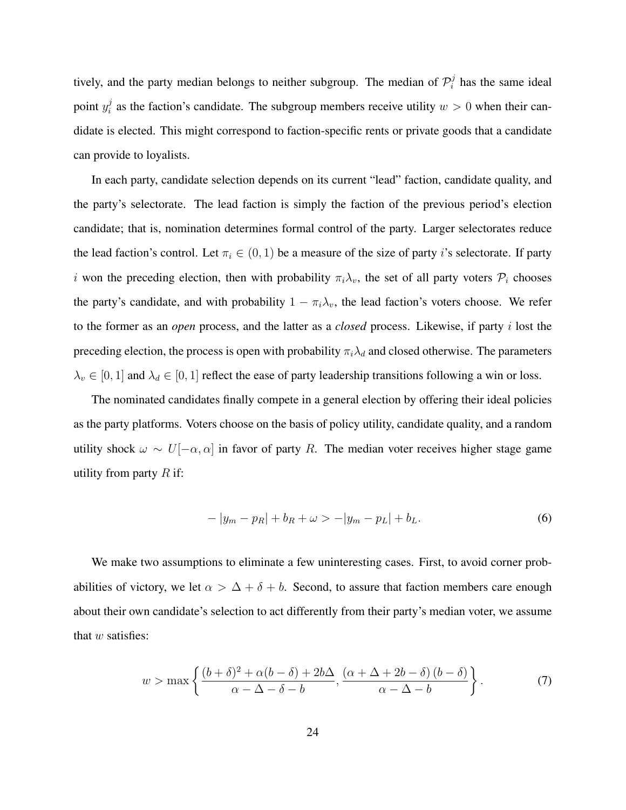tively, and the party median belongs to neither subgroup. The median of  $\mathcal{P}_i^j$  $i$  has the same ideal point  $y_i^j$  $i_{i}^{j}$  as the faction's candidate. The subgroup members receive utility  $w > 0$  when their candidate is elected. This might correspond to faction-specific rents or private goods that a candidate can provide to loyalists.

In each party, candidate selection depends on its current "lead" faction, candidate quality, and the party's selectorate. The lead faction is simply the faction of the previous period's election candidate; that is, nomination determines formal control of the party. Larger selectorates reduce the lead faction's control. Let  $\pi_i \in (0,1)$  be a measure of the size of party i's selectorate. If party i won the preceding election, then with probability  $\pi_i \lambda_v$ , the set of all party voters  $\mathcal{P}_i$  chooses the party's candidate, and with probability  $1 - \pi_i \lambda_v$ , the lead faction's voters choose. We refer to the former as an *open* process, and the latter as a *closed* process. Likewise, if party i lost the preceding election, the process is open with probability  $\pi_i \lambda_d$  and closed otherwise. The parameters  $\lambda_v \in [0, 1]$  and  $\lambda_d \in [0, 1]$  reflect the ease of party leadership transitions following a win or loss.

The nominated candidates finally compete in a general election by offering their ideal policies as the party platforms. Voters choose on the basis of policy utility, candidate quality, and a random utility shock  $\omega \sim U[-\alpha, \alpha]$  in favor of party R. The median voter receives higher stage game utility from party  $R$  if:

<span id="page-23-0"></span>
$$
-|y_m - p_R| + b_R + \omega > -|y_m - p_L| + b_L. \tag{6}
$$

We make two assumptions to eliminate a few uninteresting cases. First, to avoid corner probabilities of victory, we let  $\alpha > \Delta + \delta + b$ . Second, to assure that faction members care enough about their own candidate's selection to act differently from their party's median voter, we assume that  $w$  satisfies:

<span id="page-23-1"></span>
$$
w > \max\left\{\frac{(b+\delta)^2 + \alpha(b-\delta) + 2b\Delta}{\alpha - \Delta - \delta - b}, \frac{(\alpha + \Delta + 2b - \delta)(b-\delta)}{\alpha - \Delta - b}\right\}.
$$
 (7)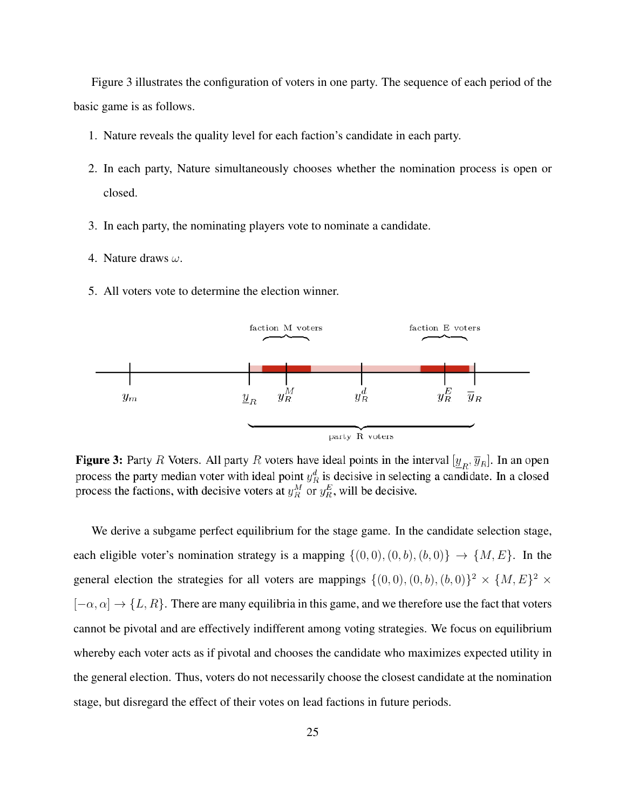Figure 3 illustrates the configuration of voters in one party. The sequence of each period of the basic game is as follows.

- 1. Nature reveals the quality level for each faction's candidate in each party.
- 2. In each party, Nature simultaneously chooses whether the nomination process is open or closed.
- 3. In each party, the nominating players vote to nominate a candidate.
- 4. Nature draws  $\omega$ .
- 5. All voters vote to determine the election winner.



**Figure 3:** Party R Voters. All party R voters have ideal points in the interval  $[y_R, \overline{y}_R]$ . In an open process the party median voter with ideal point  $y_R^d$  is decisive in selecting a candidate. In a closed process the factions, with decisive voters at  $y_R^M$  or  $y_R^E$ , will be decisive.

<span id="page-24-0"></span>We derive a subgame perfect equilibrium for the stage game. In the candidate selection stage, each eligible voter's nomination strategy is a mapping  $\{(0,0), (0, b), (b, 0)\}\rightarrow \{M, E\}$ . In the general election the strategies for all voters are mappings  $\{(0,0), (0, b), (b, 0)\}^2 \times \{M, E\}^2 \times$  $[-\alpha, \alpha] \rightarrow \{L, R\}$ . There are many equilibria in this game, and we therefore use the fact that voters cannot be pivotal and are effectively indifferent among voting strategies. We focus on equilibrium whereby each voter acts as if pivotal and chooses the candidate who maximizes expected utility in the general election. Thus, voters do not necessarily choose the closest candidate at the nomination stage, but disregard the effect of their votes on lead factions in future periods.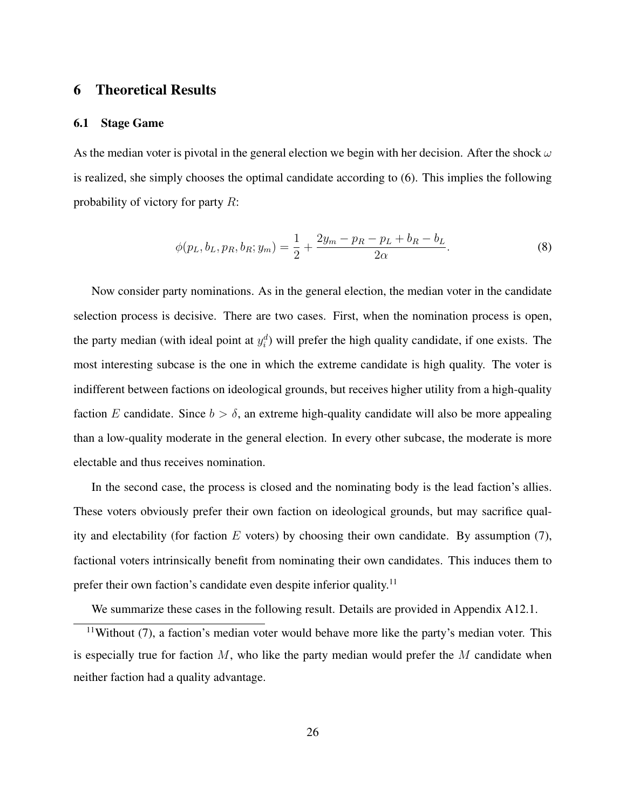# 6 Theoretical Results

## 6.1 Stage Game

As the median voter is pivotal in the general election we begin with her decision. After the shock  $\omega$ is realized, she simply chooses the optimal candidate according to [\(6\)](#page-23-0). This implies the following probability of victory for party  $R$ :

<span id="page-25-0"></span>
$$
\phi(p_L, b_L, p_R, b_R; y_m) = \frac{1}{2} + \frac{2y_m - p_R - p_L + b_R - b_L}{2\alpha}.
$$
\n(8)

Now consider party nominations. As in the general election, the median voter in the candidate selection process is decisive. There are two cases. First, when the nomination process is open, the party median (with ideal point at  $y_i^d$ ) will prefer the high quality candidate, if one exists. The most interesting subcase is the one in which the extreme candidate is high quality. The voter is indifferent between factions on ideological grounds, but receives higher utility from a high-quality faction E candidate. Since  $b > \delta$ , an extreme high-quality candidate will also be more appealing than a low-quality moderate in the general election. In every other subcase, the moderate is more electable and thus receives nomination.

In the second case, the process is closed and the nominating body is the lead faction's allies. These voters obviously prefer their own faction on ideological grounds, but may sacrifice quality and electability (for faction  $E$  voters) by choosing their own candidate. By assumption [\(7\)](#page-23-1), factional voters intrinsically benefit from nominating their own candidates. This induces them to prefer their own faction's candidate even despite inferior quality.<sup>[11](#page-0-0)</sup>

We summarize these cases in the following result. Details are provided in Appendix [A12.1.](#page-0-0)

 $11$ Without [\(7\)](#page-23-1), a faction's median voter would behave more like the party's median voter. This is especially true for faction  $M$ , who like the party median would prefer the  $M$  candidate when neither faction had a quality advantage.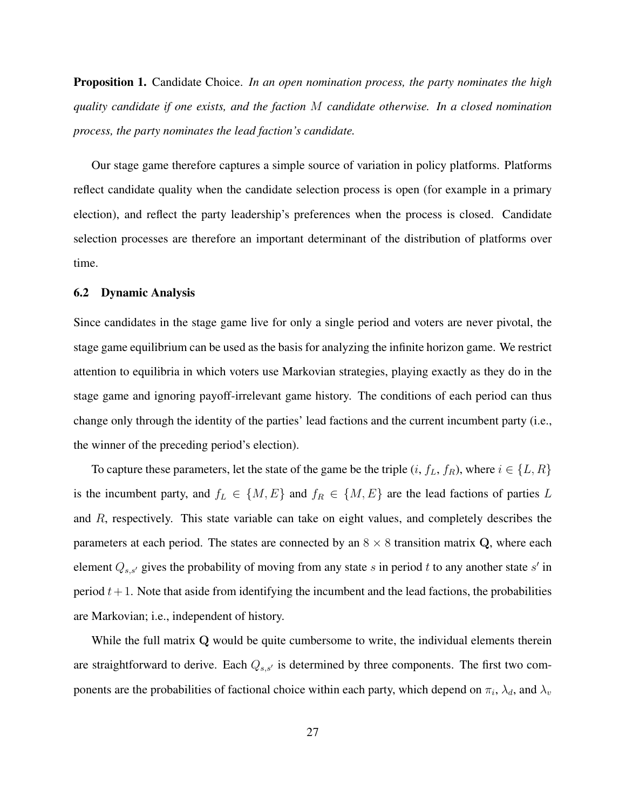Proposition 1. Candidate Choice. *In an open nomination process, the party nominates the high quality candidate if one exists, and the faction* M *candidate otherwise. In a closed nomination process, the party nominates the lead faction's candidate.*

Our stage game therefore captures a simple source of variation in policy platforms. Platforms reflect candidate quality when the candidate selection process is open (for example in a primary election), and reflect the party leadership's preferences when the process is closed. Candidate selection processes are therefore an important determinant of the distribution of platforms over time.

## <span id="page-26-0"></span>6.2 Dynamic Analysis

Since candidates in the stage game live for only a single period and voters are never pivotal, the stage game equilibrium can be used as the basis for analyzing the infinite horizon game. We restrict attention to equilibria in which voters use Markovian strategies, playing exactly as they do in the stage game and ignoring payoff-irrelevant game history. The conditions of each period can thus change only through the identity of the parties' lead factions and the current incumbent party (i.e., the winner of the preceding period's election).

To capture these parameters, let the state of the game be the triple  $(i, f_L, f_R)$ , where  $i \in \{L, R\}$ is the incumbent party, and  $f_L \in \{M, E\}$  and  $f_R \in \{M, E\}$  are the lead factions of parties L and R, respectively. This state variable can take on eight values, and completely describes the parameters at each period. The states are connected by an  $8 \times 8$  transition matrix Q, where each element  $Q_{s,s'}$  gives the probability of moving from any state s in period t to any another state s' in period  $t + 1$ . Note that aside from identifying the incumbent and the lead factions, the probabilities are Markovian; i.e., independent of history.

While the full matrix Q would be quite cumbersome to write, the individual elements therein are straightforward to derive. Each  $Q_{s,s'}$  is determined by three components. The first two components are the probabilities of factional choice within each party, which depend on  $\pi_i$ ,  $\lambda_d$ , and  $\lambda_v$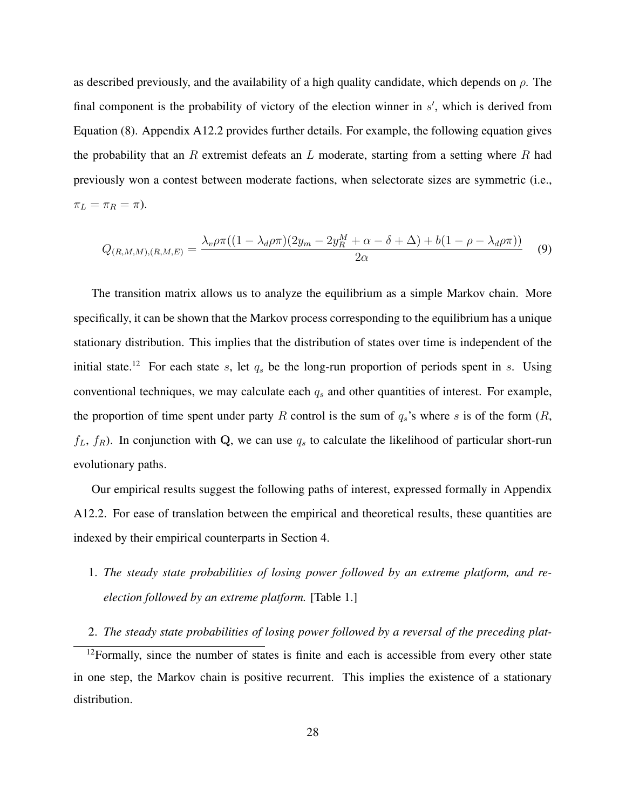as described previously, and the availability of a high quality candidate, which depends on  $\rho$ . The final component is the probability of victory of the election winner in  $s'$ , which is derived from Equation [\(8\)](#page-25-0). Appendix [A12.2](#page-0-0) provides further details. For example, the following equation gives the probability that an R extremist defeats an L moderate, starting from a setting where R had previously won a contest between moderate factions, when selectorate sizes are symmetric (i.e.,  $\pi_L = \pi_R = \pi$ ).

$$
Q_{(R,M,M),(R,M,E)} = \frac{\lambda_v \rho \pi ((1 - \lambda_d \rho \pi)(2y_m - 2y_R^M + \alpha - \delta + \Delta) + b(1 - \rho - \lambda_d \rho \pi))}{2\alpha} \tag{9}
$$

The transition matrix allows us to analyze the equilibrium as a simple Markov chain. More specifically, it can be shown that the Markov process corresponding to the equilibrium has a unique stationary distribution. This implies that the distribution of states over time is independent of the initial state.<sup>[12](#page-0-0)</sup> For each state s, let  $q_s$  be the long-run proportion of periods spent in s. Using conventional techniques, we may calculate each  $q_s$  and other quantities of interest. For example, the proportion of time spent under party R control is the sum of  $q_s$ 's where s is of the form  $(R,$  $f_L$ ,  $f_R$ ). In conjunction with Q, we can use  $q_s$  to calculate the likelihood of particular short-run evolutionary paths.

Our empirical results suggest the following paths of interest, expressed formally in Appendix [A12.2.](#page-0-0) For ease of translation between the empirical and theoretical results, these quantities are indexed by their empirical counterparts in Section [4.](#page-12-0)

- 1. *The steady state probabilities of losing power followed by an extreme platform, and reelection followed by an extreme platform.* [Table [1.](#page-14-0)]
- 2. *The steady state probabilities of losing power followed by a reversal of the preceding plat-*

 $12$ Formally, since the number of states is finite and each is accessible from every other state in one step, the Markov chain is positive recurrent. This implies the existence of a stationary distribution.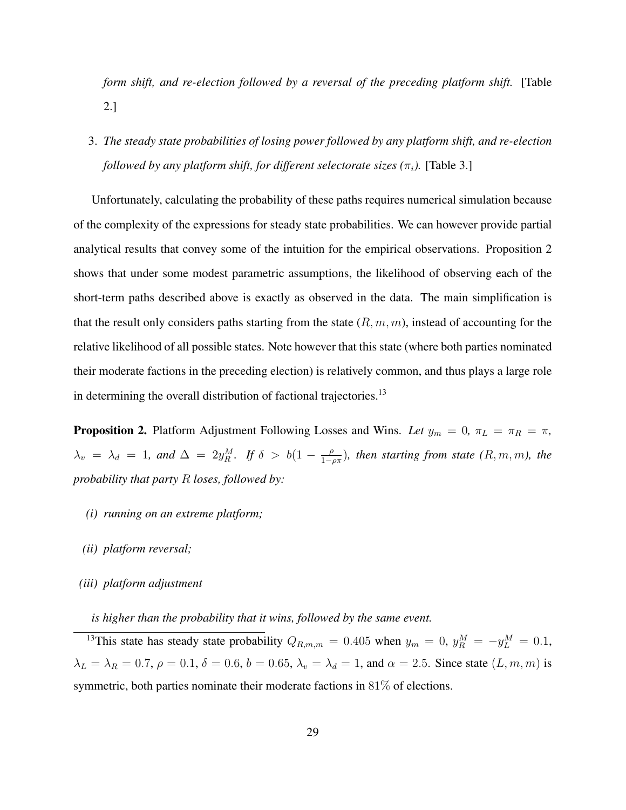*form shift, and re-election followed by a reversal of the preceding platform shift.* [Table [2.](#page-16-0)]

3. *The steady state probabilities of losing power followed by any platform shift, and re-election followed by any platform shift, for different selectorate sizes (* $\pi_i$ *).* [Table [3.](#page-17-0)]

Unfortunately, calculating the probability of these paths requires numerical simulation because of the complexity of the expressions for steady state probabilities. We can however provide partial analytical results that convey some of the intuition for the empirical observations. Proposition [2](#page-28-0) shows that under some modest parametric assumptions, the likelihood of observing each of the short-term paths described above is exactly as observed in the data. The main simplification is that the result only considers paths starting from the state  $(R, m, m)$ , instead of accounting for the relative likelihood of all possible states. Note however that this state (where both parties nominated their moderate factions in the preceding election) is relatively common, and thus plays a large role in determining the overall distribution of factional trajectories.<sup>[13](#page-0-0)</sup>

<span id="page-28-0"></span>**Proposition 2.** Platform Adjustment Following Losses and Wins. Let  $y_m = 0$ ,  $\pi_L = \pi_R = \pi$ ,  $\lambda_v = \lambda_d = 1$ , and  $\Delta = 2y_R^M$ . If  $\delta > b(1 - \frac{\rho}{1 - \rho})$ 1−ρπ )*, then starting from state (*R, m, m*), the probability that party* R *loses, followed by:*

- *(i) running on an extreme platform;*
- *(ii) platform reversal;*
- *(iii) platform adjustment*

*is higher than the probability that it wins, followed by the same event.*

<sup>13</sup>This state has steady state probability  $Q_{R,m,m} = 0.405$  when  $y_m = 0$ ,  $y_R^M = -y_L^M = 0.1$ ,  $\lambda_L = \lambda_R = 0.7, \rho = 0.1, \delta = 0.6, b = 0.65, \lambda_v = \lambda_d = 1$ , and  $\alpha = 2.5$ . Since state  $(L, m, m)$  is symmetric, both parties nominate their moderate factions in 81% of elections.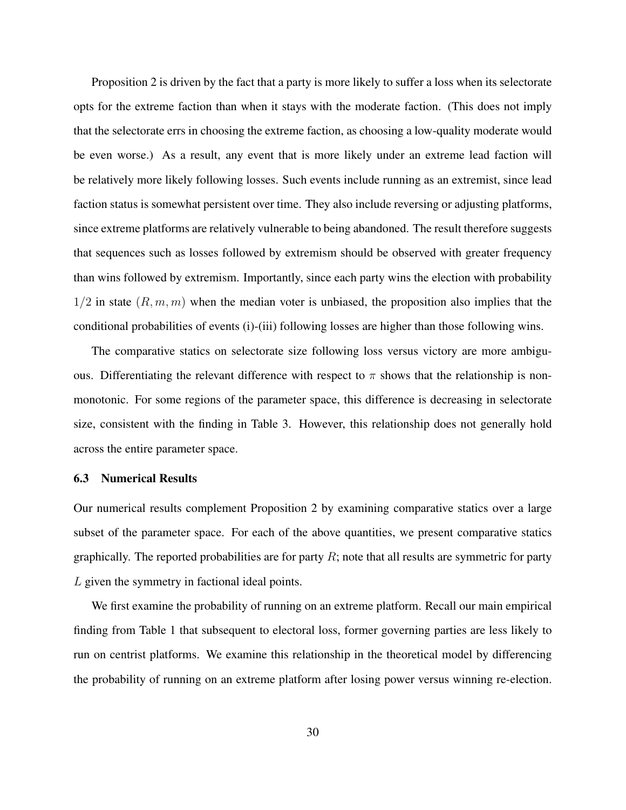Proposition [2](#page-28-0) is driven by the fact that a party is more likely to suffer a loss when its selectorate opts for the extreme faction than when it stays with the moderate faction. (This does not imply that the selectorate errs in choosing the extreme faction, as choosing a low-quality moderate would be even worse.) As a result, any event that is more likely under an extreme lead faction will be relatively more likely following losses. Such events include running as an extremist, since lead faction status is somewhat persistent over time. They also include reversing or adjusting platforms, since extreme platforms are relatively vulnerable to being abandoned. The result therefore suggests that sequences such as losses followed by extremism should be observed with greater frequency than wins followed by extremism. Importantly, since each party wins the election with probability  $1/2$  in state  $(R, m, m)$  when the median voter is unbiased, the proposition also implies that the conditional probabilities of events (i)-(iii) following losses are higher than those following wins.

The comparative statics on selectorate size following loss versus victory are more ambiguous. Differentiating the relevant difference with respect to  $\pi$  shows that the relationship is nonmonotonic. For some regions of the parameter space, this difference is decreasing in selectorate size, consistent with the finding in Table [3.](#page-17-0) However, this relationship does not generally hold across the entire parameter space.

## 6.3 Numerical Results

Our numerical results complement Proposition [2](#page-28-0) by examining comparative statics over a large subset of the parameter space. For each of the above quantities, we present comparative statics graphically. The reported probabilities are for party  $R$ ; note that all results are symmetric for party L given the symmetry in factional ideal points.

We first examine the probability of running on an extreme platform. Recall our main empirical finding from Table [1](#page-14-0) that subsequent to electoral loss, former governing parties are less likely to run on centrist platforms. We examine this relationship in the theoretical model by differencing the probability of running on an extreme platform after losing power versus winning re-election.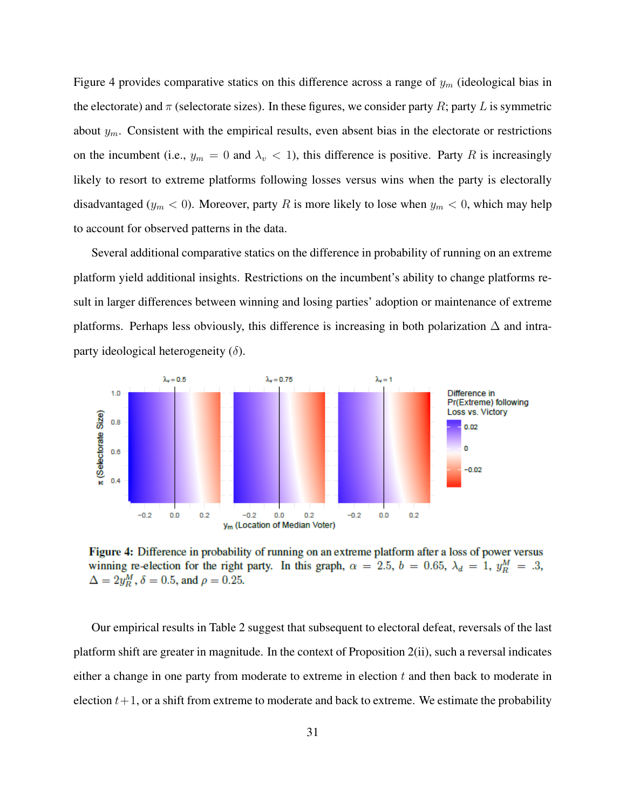Figure 4 provides comparative statics on this difference across a range of  $y_m$  (ideological bias in the electorate) and  $\pi$  (selectorate sizes). In these figures, we consider party R; party L is symmetric about  $y_m$ . Consistent with the empirical results, even absent bias in the electorate or restrictions on the incumbent (i.e.,  $y_m = 0$  and  $\lambda_v < 1$ ), this difference is positive. Party R is increasingly likely to resort to extreme platforms following losses versus wins when the party is electorally disadvantaged ( $y_m < 0$ ). Moreover, party R is more likely to lose when  $y_m < 0$ , which may help to account for observed patterns in the data.

Several additional comparative statics on the difference in probability of running on an extreme platform yield additional insights. Restrictions on the incumbent's ability to change platforms result in larger differences between winning and losing parties' adoption or maintenance of extreme platforms. Perhaps less obviously, this difference is increasing in both polarization  $\Delta$  and intraparty ideological heterogeneity  $(\delta)$ .



Figure 4: Difference in probability of running on an extreme platform after a loss of power versus winning re-election for the right party. In this graph,  $\alpha = 2.5$ ,  $b = 0.65$ ,  $\lambda_d = 1$ ,  $y_R^M = .3$ ,  $\Delta = 2y_R^M$ ,  $\delta = 0.5$ , and  $\rho = 0.25$ .

Our empirical results in Table [2](#page-16-0) suggest that subsequent to electoral defeat, reversals of the last platform shift are greater in magnitude. In the context of Proposition [2\(](#page-28-0)ii), such a reversal indicates either a change in one party from moderate to extreme in election t and then back to moderate in election  $t+1$ , or a shift from extreme to moderate and back to extreme. We estimate the probability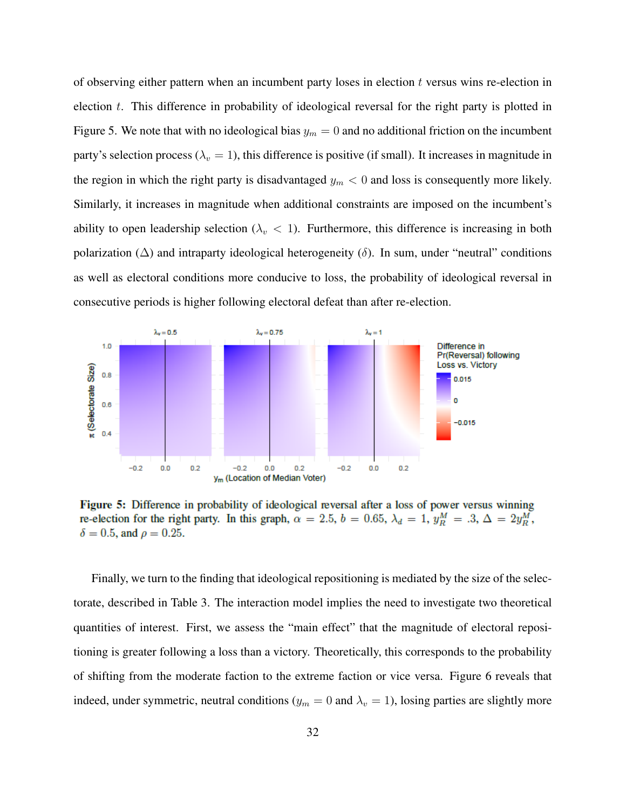of observing either pattern when an incumbent party loses in election  $t$  versus wins re-election in election t. This difference in probability of ideological reversal for the right party is plotted in Figure 5. We note that with no ideological bias  $y_m = 0$  and no additional friction on the incumbent party's selection process ( $\lambda_v = 1$ ), this difference is positive (if small). It increases in magnitude in the region in which the right party is disadvantaged  $y_m < 0$  and loss is consequently more likely. Similarly, it increases in magnitude when additional constraints are imposed on the incumbent's ability to open leadership selection ( $\lambda_v < 1$ ). Furthermore, this difference is increasing in both polarization ( $\Delta$ ) and intraparty ideological heterogeneity ( $\delta$ ). In sum, under "neutral" conditions as well as electoral conditions more conducive to loss, the probability of ideological reversal in consecutive periods is higher following electoral defeat than after re-election.



Figure 5: Difference in probability of ideological reversal after a loss of power versus winning re-election for the right party. In this graph,  $\alpha = 2.5$ ,  $b = 0.65$ ,  $\lambda_d = 1$ ,  $y_R^M = .3$ ,  $\Delta = 2y_R^M$ ,  $\delta = 0.5$ , and  $\rho = 0.25$ .

Finally, we turn to the finding that ideological repositioning is mediated by the size of the selectorate, described in Table [3.](#page-17-0) The interaction model implies the need to investigate two theoretical quantities of interest. First, we assess the "main effect" that the magnitude of electoral repositioning is greater following a loss than a victory. Theoretically, this corresponds to the probability of shifting from the moderate faction to the extreme faction or vice versa. Figure 6 reveals that indeed, under symmetric, neutral conditions ( $y_m = 0$  and  $\lambda_v = 1$ ), losing parties are slightly more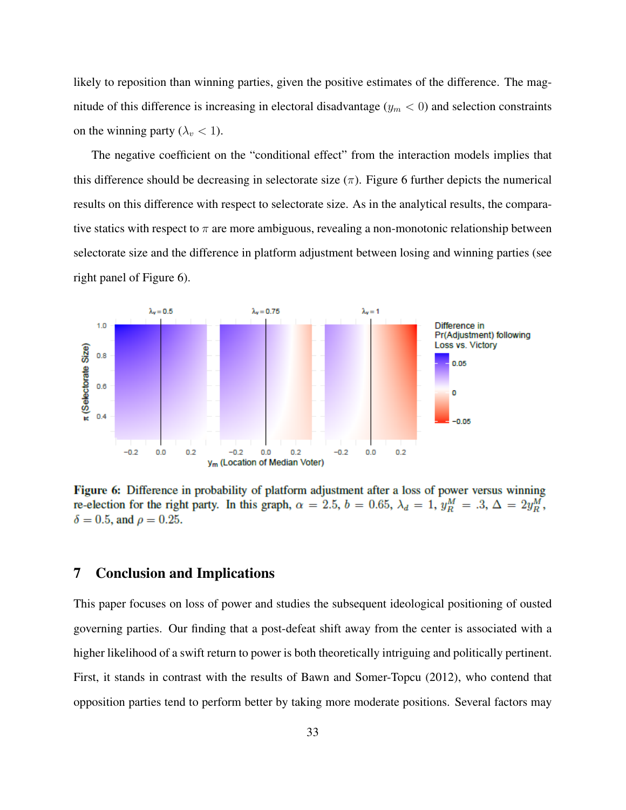likely to reposition than winning parties, given the positive estimates of the difference. The magnitude of this difference is increasing in electoral disadvantage ( $y_m < 0$ ) and selection constraints on the winning party ( $\lambda_v$  < 1).

The negative coefficient on the "conditional effect" from the interaction models implies that this difference should be decreasing in selectorate size  $(\pi)$ . Figure 6 further depicts the numerical results on this difference with respect to selectorate size. As in the analytical results, the comparative statics with respect to  $\pi$  are more ambiguous, revealing a non-monotonic relationship between selectorate size and the difference in platform adjustment between losing and winning parties (see right panel of Figure 6).



Figure 6: Difference in probability of platform adjustment after a loss of power versus winning re-election for the right party. In this graph,  $\alpha = 2.5$ ,  $b = 0.65$ ,  $\lambda_d = 1$ ,  $y_R^M = .3$ ,  $\Delta = 2y_R^M$ ,  $\delta = 0.5$ , and  $\rho = 0.25$ .

# <span id="page-32-0"></span>7 Conclusion and Implications

This paper focuses on loss of power and studies the subsequent ideological positioning of ousted governing parties. Our finding that a post-defeat shift away from the center is associated with a higher likelihood of a swift return to power is both theoretically intriguing and politically pertinent. First, it stands in contrast with the results of [Bawn and Somer-Topcu](#page-34-2) [\(2012\)](#page-34-2), who contend that opposition parties tend to perform better by taking more moderate positions. Several factors may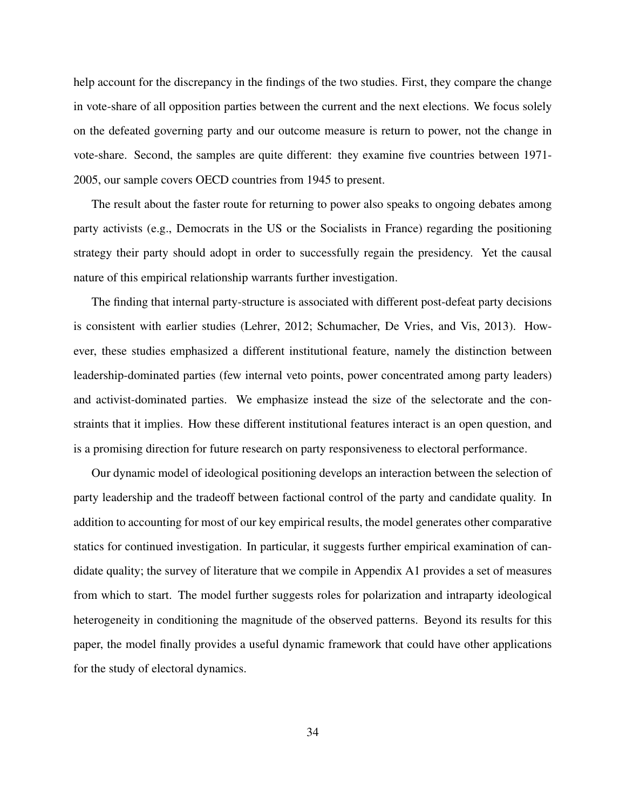help account for the discrepancy in the findings of the two studies. First, they compare the change in vote-share of all opposition parties between the current and the next elections. We focus solely on the defeated governing party and our outcome measure is return to power, not the change in vote-share. Second, the samples are quite different: they examine five countries between 1971- 2005, our sample covers OECD countries from 1945 to present.

The result about the faster route for returning to power also speaks to ongoing debates among party activists (e.g., Democrats in the US or the Socialists in France) regarding the positioning strategy their party should adopt in order to successfully regain the presidency. Yet the causal nature of this empirical relationship warrants further investigation.

The finding that internal party-structure is associated with different post-defeat party decisions is consistent with earlier studies [\(Lehrer, 2012;](#page-36-2) [Schumacher, De Vries, and Vis, 2013\)](#page-37-3). However, these studies emphasized a different institutional feature, namely the distinction between leadership-dominated parties (few internal veto points, power concentrated among party leaders) and activist-dominated parties. We emphasize instead the size of the selectorate and the constraints that it implies. How these different institutional features interact is an open question, and is a promising direction for future research on party responsiveness to electoral performance.

Our dynamic model of ideological positioning develops an interaction between the selection of party leadership and the tradeoff between factional control of the party and candidate quality. In addition to accounting for most of our key empirical results, the model generates other comparative statics for continued investigation. In particular, it suggests further empirical examination of candidate quality; the survey of literature that we compile in Appendix [A1](#page-1-0) provides a set of measures from which to start. The model further suggests roles for polarization and intraparty ideological heterogeneity in conditioning the magnitude of the observed patterns. Beyond its results for this paper, the model finally provides a useful dynamic framework that could have other applications for the study of electoral dynamics.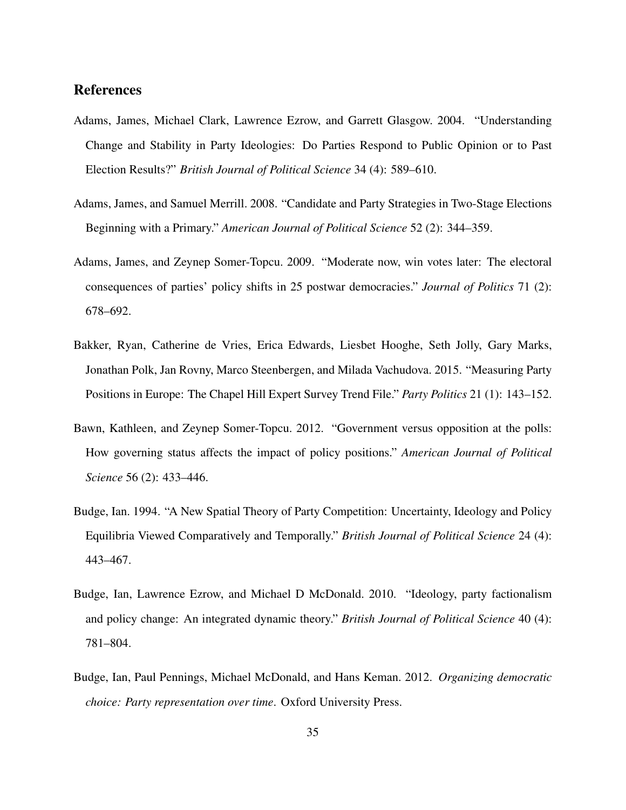# References

- <span id="page-34-0"></span>Adams, James, Michael Clark, Lawrence Ezrow, and Garrett Glasgow. 2004. "Understanding Change and Stability in Party Ideologies: Do Parties Respond to Public Opinion or to Past Election Results?" *British Journal of Political Science* 34 (4): 589–610.
- <span id="page-34-4"></span>Adams, James, and Samuel Merrill. 2008. "Candidate and Party Strategies in Two-Stage Elections Beginning with a Primary." *American Journal of Political Science* 52 (2): 344–359.
- <span id="page-34-6"></span>Adams, James, and Zeynep Somer-Topcu. 2009. "Moderate now, win votes later: The electoral consequences of parties' policy shifts in 25 postwar democracies." *Journal of Politics* 71 (2): 678–692.
- <span id="page-34-5"></span>Bakker, Ryan, Catherine de Vries, Erica Edwards, Liesbet Hooghe, Seth Jolly, Gary Marks, Jonathan Polk, Jan Rovny, Marco Steenbergen, and Milada Vachudova. 2015. "Measuring Party Positions in Europe: The Chapel Hill Expert Survey Trend File." *Party Politics* 21 (1): 143–152.
- <span id="page-34-2"></span>Bawn, Kathleen, and Zeynep Somer-Topcu. 2012. "Government versus opposition at the polls: How governing status affects the impact of policy positions." *American Journal of Political Science* 56 (2): 433–446.
- <span id="page-34-3"></span>Budge, Ian. 1994. "A New Spatial Theory of Party Competition: Uncertainty, Ideology and Policy Equilibria Viewed Comparatively and Temporally." *British Journal of Political Science* 24 (4): 443–467.
- <span id="page-34-1"></span>Budge, Ian, Lawrence Ezrow, and Michael D McDonald. 2010. "Ideology, party factionalism and policy change: An integrated dynamic theory." *British Journal of Political Science* 40 (4): 781–804.
- <span id="page-34-7"></span>Budge, Ian, Paul Pennings, Michael McDonald, and Hans Keman. 2012. *Organizing democratic choice: Party representation over time*. Oxford University Press.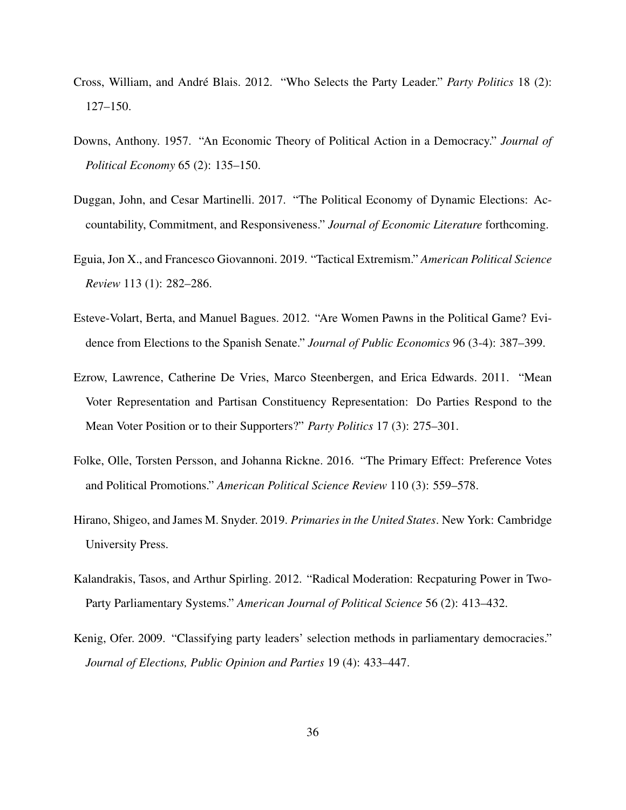- <span id="page-35-9"></span>Cross, William, and André Blais. 2012. "Who Selects the Party Leader." *Party Politics* 18 (2): 127–150.
- <span id="page-35-0"></span>Downs, Anthony. 1957. "An Economic Theory of Political Action in a Democracy." *Journal of Political Economy* 65 (2): 135–150.
- <span id="page-35-1"></span>Duggan, John, and Cesar Martinelli. 2017. "The Political Economy of Dynamic Elections: Accountability, Commitment, and Responsiveness." *Journal of Economic Literature* forthcoming.
- <span id="page-35-4"></span>Eguia, Jon X., and Francesco Giovannoni. 2019. "Tactical Extremism." *American Political Science Review* 113 (1): 282–286.
- <span id="page-35-8"></span>Esteve-Volart, Berta, and Manuel Bagues. 2012. "Are Women Pawns in the Political Game? Evidence from Elections to the Spanish Senate." *Journal of Public Economics* 96 (3-4): 387–399.
- <span id="page-35-2"></span>Ezrow, Lawrence, Catherine De Vries, Marco Steenbergen, and Erica Edwards. 2011. "Mean Voter Representation and Partisan Constituency Representation: Do Parties Respond to the Mean Voter Position or to their Supporters?" *Party Politics* 17 (3): 275–301.
- <span id="page-35-7"></span>Folke, Olle, Torsten Persson, and Johanna Rickne. 2016. "The Primary Effect: Preference Votes and Political Promotions." *American Political Science Review* 110 (3): 559–578.
- <span id="page-35-6"></span>Hirano, Shigeo, and James M. Snyder. 2019. *Primaries in the United States*. New York: Cambridge University Press.
- <span id="page-35-3"></span>Kalandrakis, Tasos, and Arthur Spirling. 2012. "Radical Moderation: Recpaturing Power in Two-Party Parliamentary Systems." *American Journal of Political Science* 56 (2): 413–432.
- <span id="page-35-5"></span>Kenig, Ofer. 2009. "Classifying party leaders' selection methods in parliamentary democracies." *Journal of Elections, Public Opinion and Parties* 19 (4): 433–447.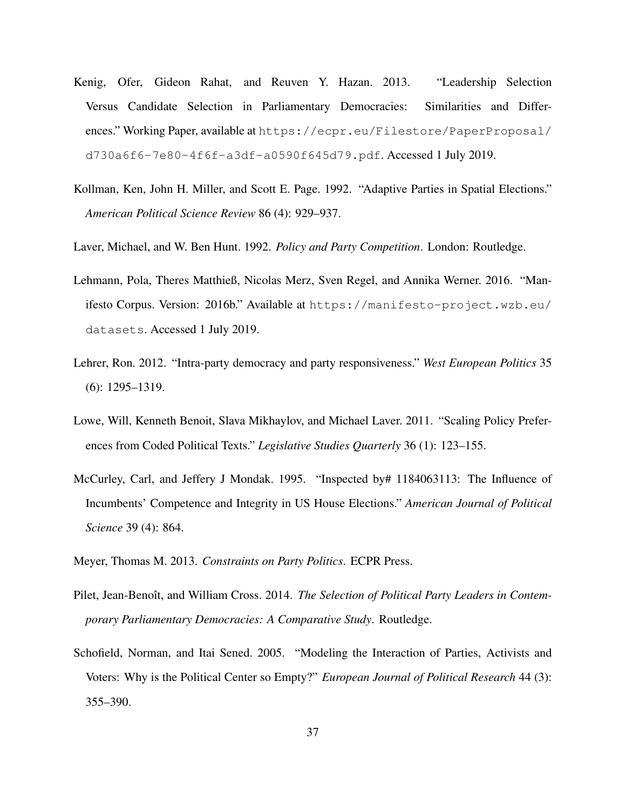- <span id="page-36-8"></span>Kenig, Ofer, Gideon Rahat, and Reuven Y. Hazan. 2013. "Leadership Selection Versus Candidate Selection in Parliamentary Democracies: Similarities and Differences." Working Paper, available at [https://ecpr.eu/Filestore/PaperProposal/](https://ecpr.eu/Filestore/PaperProposal/d730a6f6-7e80-4f6f-a3df-a0590f645d79.pdf) [d730a6f6-7e80-4f6f-a3df-a0590f645d79.pdf](https://ecpr.eu/Filestore/PaperProposal/d730a6f6-7e80-4f6f-a3df-a0590f645d79.pdf). Accessed 1 July 2019.
- <span id="page-36-1"></span>Kollman, Ken, John H. Miller, and Scott E. Page. 1992. "Adaptive Parties in Spatial Elections." *American Political Science Review* 86 (4): 929–937.
- <span id="page-36-9"></span>Laver, Michael, and W. Ben Hunt. 1992. *Policy and Party Competition*. London: Routledge.
- <span id="page-36-6"></span>Lehmann, Pola, Theres Matthieß, Nicolas Merz, Sven Regel, and Annika Werner. 2016. "Manifesto Corpus. Version: 2016b." Available at [https://manifesto-project.wzb.eu/](https://manifesto-project.wzb.eu/datasets) [datasets](https://manifesto-project.wzb.eu/datasets). Accessed 1 July 2019.
- <span id="page-36-2"></span>Lehrer, Ron. 2012. "Intra-party democracy and party responsiveness." *West European Politics* 35 (6): 1295–1319.
- <span id="page-36-7"></span>Lowe, Will, Kenneth Benoit, Slava Mikhaylov, and Michael Laver. 2011. "Scaling Policy Preferences from Coded Political Texts." *Legislative Studies Quarterly* 36 (1): 123–155.
- <span id="page-36-4"></span>McCurley, Carl, and Jeffery J Mondak. 1995. "Inspected by# 1184063113: The Influence of Incumbents' Competence and Integrity in US House Elections." *American Journal of Political Science* 39 (4): 864.
- <span id="page-36-3"></span>Meyer, Thomas M. 2013. *Constraints on Party Politics*. ECPR Press.
- <span id="page-36-5"></span>Pilet, Jean-Benoît, and William Cross. 2014. *The Selection of Political Party Leaders in Contemporary Parliamentary Democracies: A Comparative Study*. Routledge.
- <span id="page-36-0"></span>Schofield, Norman, and Itai Sened. 2005. "Modeling the Interaction of Parties, Activists and Voters: Why is the Political Center so Empty?" *European Journal of Political Research* 44 (3): 355–390.